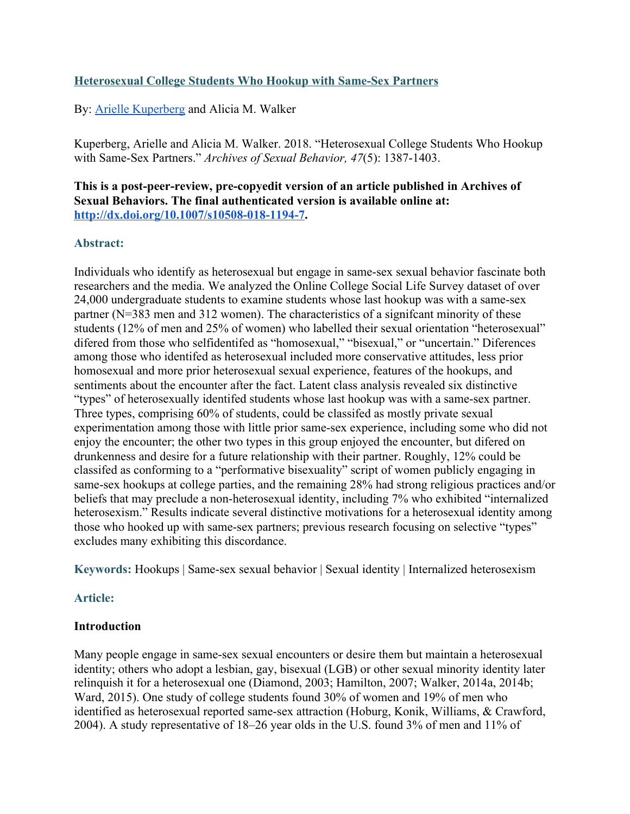# **Heterosexual College Students Who Hookup with Same-Sex Partners**

By: [Arielle Kuperberg](http://libres.uncg.edu/ir/uncg/clist.aspx?id=7820) and Alicia M. Walker

Kuperberg, Arielle and Alicia M. Walker. 2018. "Heterosexual College Students Who Hookup with Same-Sex Partners." *Archives of Sexual Behavior, 47*(5): 1387-1403.

**This is a post-peer-review, pre-copyedit version of an article published in Archives of Sexual Behaviors. The final authenticated version is available online at: <http://dx.doi.org/10.1007/s10508-018-1194-7>.**

### **Abstract:**

Individuals who identify as heterosexual but engage in same-sex sexual behavior fascinate both researchers and the media. We analyzed the Online College Social Life Survey dataset of over 24,000 undergraduate students to examine students whose last hookup was with a same-sex partner (N=383 men and 312 women). The characteristics of a signifcant minority of these students (12% of men and 25% of women) who labelled their sexual orientation "heterosexual" difered from those who selfidentifed as "homosexual," "bisexual," or "uncertain." Diferences among those who identifed as heterosexual included more conservative attitudes, less prior homosexual and more prior heterosexual sexual experience, features of the hookups, and sentiments about the encounter after the fact. Latent class analysis revealed six distinctive "types" of heterosexually identifed students whose last hookup was with a same-sex partner. Three types, comprising 60% of students, could be classifed as mostly private sexual experimentation among those with little prior same-sex experience, including some who did not enjoy the encounter; the other two types in this group enjoyed the encounter, but difered on drunkenness and desire for a future relationship with their partner. Roughly, 12% could be classifed as conforming to a "performative bisexuality" script of women publicly engaging in same-sex hookups at college parties, and the remaining 28% had strong religious practices and/or beliefs that may preclude a non-heterosexual identity, including 7% who exhibited "internalized heterosexism." Results indicate several distinctive motivations for a heterosexual identity among those who hooked up with same-sex partners; previous research focusing on selective "types" excludes many exhibiting this discordance.

**Keywords:** Hookups | Same-sex sexual behavior | Sexual identity | Internalized heterosexism

# **Article:**

### **Introduction**

Many people engage in same-sex sexual encounters or desire them but maintain a heterosexual identity; others who adopt a lesbian, gay, bisexual (LGB) or other sexual minority identity later relinquish it for a heterosexual one (Diamond, 2003; Hamilton, 2007; Walker, 2014a, 2014b; Ward, 2015). One study of college students found 30% of women and 19% of men who identified as heterosexual reported same-sex attraction (Hoburg, Konik, Williams, & Crawford, 2004). A study representative of 18–26 year olds in the U.S. found 3% of men and 11% of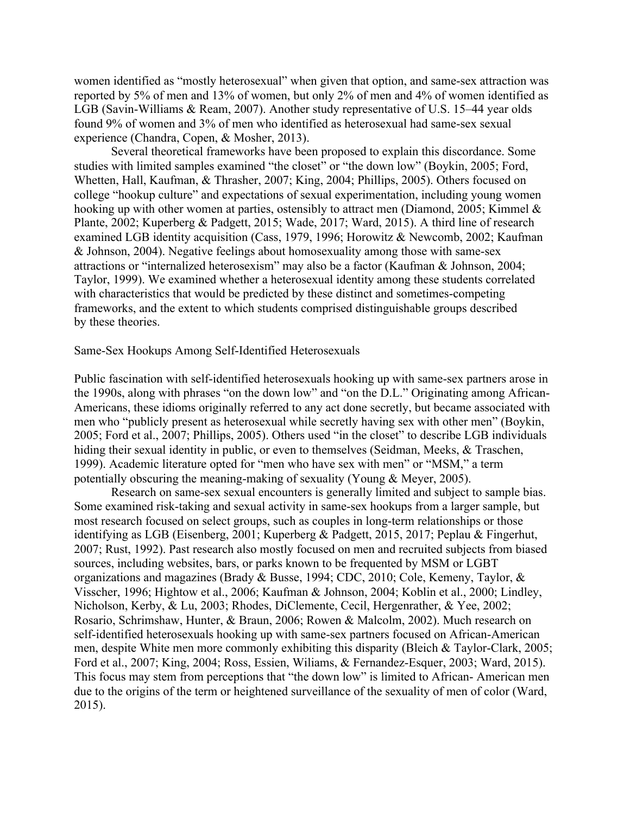women identified as "mostly heterosexual" when given that option, and same-sex attraction was reported by 5% of men and 13% of women, but only 2% of men and 4% of women identified as LGB (Savin-Williams & Ream, 2007). Another study representative of U.S. 15–44 year olds found 9% of women and 3% of men who identified as heterosexual had same-sex sexual experience (Chandra, Copen, & Mosher, 2013).

Several theoretical frameworks have been proposed to explain this discordance. Some studies with limited samples examined "the closet" or "the down low" (Boykin, 2005; Ford, Whetten, Hall, Kaufman, & Thrasher, 2007; King, 2004; Phillips, 2005). Others focused on college "hookup culture" and expectations of sexual experimentation, including young women hooking up with other women at parties, ostensibly to attract men (Diamond, 2005; Kimmel & Plante, 2002; Kuperberg & Padgett, 2015; Wade, 2017; Ward, 2015). A third line of research examined LGB identity acquisition (Cass, 1979, 1996; Horowitz & Newcomb, 2002; Kaufman & Johnson, 2004). Negative feelings about homosexuality among those with same-sex attractions or "internalized heterosexism" may also be a factor (Kaufman & Johnson, 2004; Taylor, 1999). We examined whether a heterosexual identity among these students correlated with characteristics that would be predicted by these distinct and sometimes-competing frameworks, and the extent to which students comprised distinguishable groups described by these theories.

#### Same-Sex Hookups Among Self-Identified Heterosexuals

Public fascination with self-identified heterosexuals hooking up with same-sex partners arose in the 1990s, along with phrases "on the down low" and "on the D.L." Originating among African-Americans, these idioms originally referred to any act done secretly, but became associated with men who "publicly present as heterosexual while secretly having sex with other men" (Boykin, 2005; Ford et al., 2007; Phillips, 2005). Others used "in the closet" to describe LGB individuals hiding their sexual identity in public, or even to themselves (Seidman, Meeks, & Traschen, 1999). Academic literature opted for "men who have sex with men" or "MSM," a term potentially obscuring the meaning-making of sexuality (Young & Meyer, 2005).

Research on same-sex sexual encounters is generally limited and subject to sample bias. Some examined risk-taking and sexual activity in same-sex hookups from a larger sample, but most research focused on select groups, such as couples in long-term relationships or those identifying as LGB (Eisenberg, 2001; Kuperberg & Padgett, 2015, 2017; Peplau & Fingerhut, 2007; Rust, 1992). Past research also mostly focused on men and recruited subjects from biased sources, including websites, bars, or parks known to be frequented by MSM or LGBT organizations and magazines (Brady & Busse, 1994; CDC, 2010; Cole, Kemeny, Taylor, & Visscher, 1996; Hightow et al., 2006; Kaufman & Johnson, 2004; Koblin et al., 2000; Lindley, Nicholson, Kerby, & Lu, 2003; Rhodes, DiClemente, Cecil, Hergenrather, & Yee, 2002; Rosario, Schrimshaw, Hunter, & Braun, 2006; Rowen & Malcolm, 2002). Much research on self-identified heterosexuals hooking up with same-sex partners focused on African-American men, despite White men more commonly exhibiting this disparity (Bleich & Taylor-Clark, 2005; Ford et al., 2007; King, 2004; Ross, Essien, Wiliams, & Fernandez-Esquer, 2003; Ward, 2015). This focus may stem from perceptions that "the down low" is limited to African- American men due to the origins of the term or heightened surveillance of the sexuality of men of color (Ward, 2015).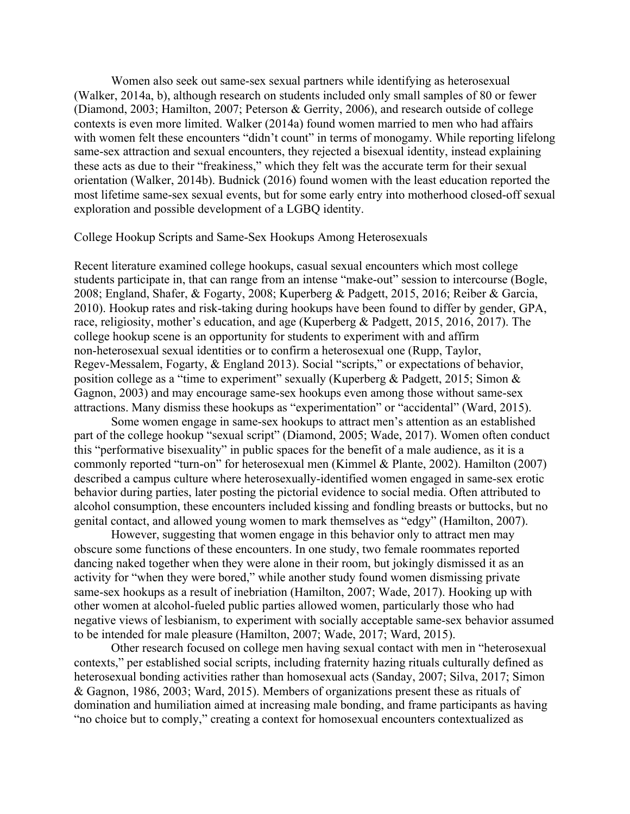Women also seek out same-sex sexual partners while identifying as heterosexual (Walker, 2014a, b), although research on students included only small samples of 80 or fewer (Diamond, 2003; Hamilton, 2007; Peterson & Gerrity, 2006), and research outside of college contexts is even more limited. Walker (2014a) found women married to men who had affairs with women felt these encounters "didn't count" in terms of monogamy. While reporting lifelong same-sex attraction and sexual encounters, they rejected a bisexual identity, instead explaining these acts as due to their "freakiness," which they felt was the accurate term for their sexual orientation (Walker, 2014b). Budnick (2016) found women with the least education reported the most lifetime same-sex sexual events, but for some early entry into motherhood closed-off sexual exploration and possible development of a LGBQ identity.

#### College Hookup Scripts and Same-Sex Hookups Among Heterosexuals

Recent literature examined college hookups, casual sexual encounters which most college students participate in, that can range from an intense "make-out" session to intercourse (Bogle, 2008; England, Shafer, & Fogarty, 2008; Kuperberg & Padgett, 2015, 2016; Reiber & Garcia, 2010). Hookup rates and risk-taking during hookups have been found to differ by gender, GPA, race, religiosity, mother's education, and age (Kuperberg & Padgett, 2015, 2016, 2017). The college hookup scene is an opportunity for students to experiment with and affirm non-heterosexual sexual identities or to confirm a heterosexual one (Rupp, Taylor, Regev-Messalem, Fogarty, & England 2013). Social "scripts," or expectations of behavior, position college as a "time to experiment" sexually (Kuperberg & Padgett, 2015; Simon & Gagnon, 2003) and may encourage same-sex hookups even among those without same-sex attractions. Many dismiss these hookups as "experimentation" or "accidental" (Ward, 2015).

Some women engage in same-sex hookups to attract men's attention as an established part of the college hookup "sexual script" (Diamond, 2005; Wade, 2017). Women often conduct this "performative bisexuality" in public spaces for the benefit of a male audience, as it is a commonly reported "turn-on" for heterosexual men (Kimmel & Plante, 2002). Hamilton (2007) described a campus culture where heterosexually-identified women engaged in same-sex erotic behavior during parties, later posting the pictorial evidence to social media. Often attributed to alcohol consumption, these encounters included kissing and fondling breasts or buttocks, but no genital contact, and allowed young women to mark themselves as "edgy" (Hamilton, 2007).

However, suggesting that women engage in this behavior only to attract men may obscure some functions of these encounters. In one study, two female roommates reported dancing naked together when they were alone in their room, but jokingly dismissed it as an activity for "when they were bored," while another study found women dismissing private same-sex hookups as a result of inebriation (Hamilton, 2007; Wade, 2017). Hooking up with other women at alcohol-fueled public parties allowed women, particularly those who had negative views of lesbianism, to experiment with socially acceptable same-sex behavior assumed to be intended for male pleasure (Hamilton, 2007; Wade, 2017; Ward, 2015).

Other research focused on college men having sexual contact with men in "heterosexual contexts," per established social scripts, including fraternity hazing rituals culturally defined as heterosexual bonding activities rather than homosexual acts (Sanday, 2007; Silva, 2017; Simon & Gagnon, 1986, 2003; Ward, 2015). Members of organizations present these as rituals of domination and humiliation aimed at increasing male bonding, and frame participants as having "no choice but to comply," creating a context for homosexual encounters contextualized as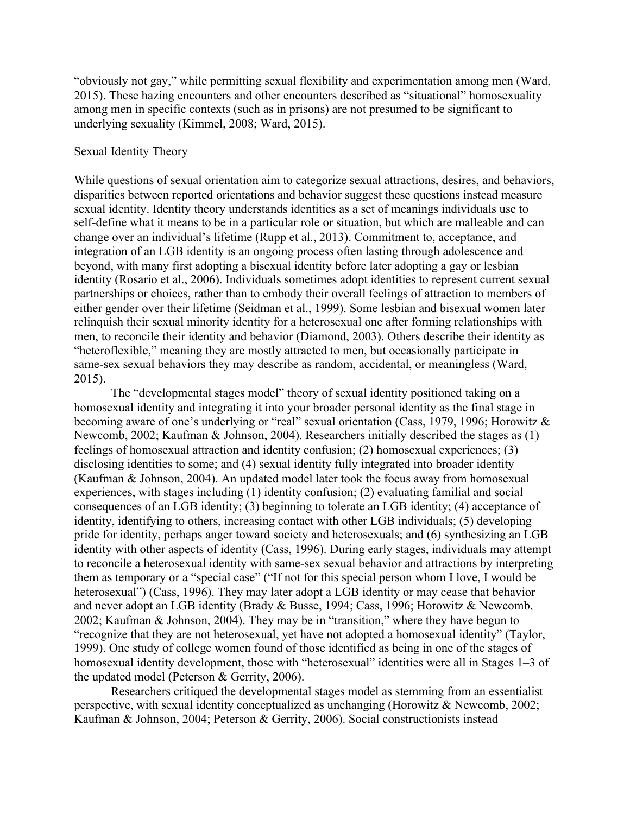"obviously not gay," while permitting sexual flexibility and experimentation among men (Ward, 2015). These hazing encounters and other encounters described as "situational" homosexuality among men in specific contexts (such as in prisons) are not presumed to be significant to underlying sexuality (Kimmel, 2008; Ward, 2015).

#### Sexual Identity Theory

While questions of sexual orientation aim to categorize sexual attractions, desires, and behaviors, disparities between reported orientations and behavior suggest these questions instead measure sexual identity. Identity theory understands identities as a set of meanings individuals use to self-define what it means to be in a particular role or situation, but which are malleable and can change over an individual's lifetime (Rupp et al., 2013). Commitment to, acceptance, and integration of an LGB identity is an ongoing process often lasting through adolescence and beyond, with many first adopting a bisexual identity before later adopting a gay or lesbian identity (Rosario et al., 2006). Individuals sometimes adopt identities to represent current sexual partnerships or choices, rather than to embody their overall feelings of attraction to members of either gender over their lifetime (Seidman et al., 1999). Some lesbian and bisexual women later relinquish their sexual minority identity for a heterosexual one after forming relationships with men, to reconcile their identity and behavior (Diamond, 2003). Others describe their identity as "heteroflexible," meaning they are mostly attracted to men, but occasionally participate in same-sex sexual behaviors they may describe as random, accidental, or meaningless (Ward, 2015).

The "developmental stages model" theory of sexual identity positioned taking on a homosexual identity and integrating it into your broader personal identity as the final stage in becoming aware of one's underlying or "real" sexual orientation (Cass, 1979, 1996; Horowitz & Newcomb, 2002; Kaufman & Johnson, 2004). Researchers initially described the stages as (1) feelings of homosexual attraction and identity confusion; (2) homosexual experiences; (3) disclosing identities to some; and (4) sexual identity fully integrated into broader identity (Kaufman & Johnson, 2004). An updated model later took the focus away from homosexual experiences, with stages including (1) identity confusion; (2) evaluating familial and social consequences of an LGB identity; (3) beginning to tolerate an LGB identity; (4) acceptance of identity, identifying to others, increasing contact with other LGB individuals; (5) developing pride for identity, perhaps anger toward society and heterosexuals; and (6) synthesizing an LGB identity with other aspects of identity (Cass, 1996). During early stages, individuals may attempt to reconcile a heterosexual identity with same-sex sexual behavior and attractions by interpreting them as temporary or a "special case" ("If not for this special person whom I love, I would be heterosexual") (Cass, 1996). They may later adopt a LGB identity or may cease that behavior and never adopt an LGB identity (Brady & Busse, 1994; Cass, 1996; Horowitz & Newcomb, 2002; Kaufman & Johnson, 2004). They may be in "transition," where they have begun to "recognize that they are not heterosexual, yet have not adopted a homosexual identity" (Taylor, 1999). One study of college women found of those identified as being in one of the stages of homosexual identity development, those with "heterosexual" identities were all in Stages 1–3 of the updated model (Peterson & Gerrity, 2006).

Researchers critiqued the developmental stages model as stemming from an essentialist perspective, with sexual identity conceptualized as unchanging (Horowitz & Newcomb, 2002; Kaufman & Johnson, 2004; Peterson & Gerrity, 2006). Social constructionists instead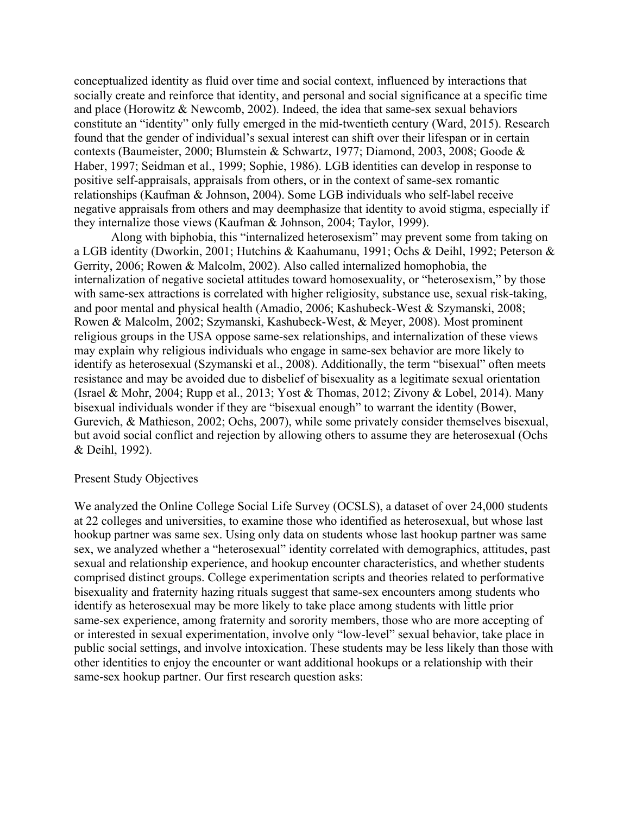conceptualized identity as fluid over time and social context, influenced by interactions that socially create and reinforce that identity, and personal and social significance at a specific time and place (Horowitz & Newcomb, 2002). Indeed, the idea that same-sex sexual behaviors constitute an "identity" only fully emerged in the mid-twentieth century (Ward, 2015). Research found that the gender of individual's sexual interest can shift over their lifespan or in certain contexts (Baumeister, 2000; Blumstein & Schwartz, 1977; Diamond, 2003, 2008; Goode & Haber, 1997; Seidman et al., 1999; Sophie, 1986). LGB identities can develop in response to positive self-appraisals, appraisals from others, or in the context of same-sex romantic relationships (Kaufman & Johnson, 2004). Some LGB individuals who self-label receive negative appraisals from others and may deemphasize that identity to avoid stigma, especially if they internalize those views (Kaufman & Johnson, 2004; Taylor, 1999).

Along with biphobia, this "internalized heterosexism" may prevent some from taking on a LGB identity (Dworkin, 2001; Hutchins & Kaahumanu, 1991; Ochs & Deihl, 1992; Peterson & Gerrity, 2006; Rowen & Malcolm, 2002). Also called internalized homophobia, the internalization of negative societal attitudes toward homosexuality, or "heterosexism," by those with same-sex attractions is correlated with higher religiosity, substance use, sexual risk-taking, and poor mental and physical health (Amadio, 2006; Kashubeck-West & Szymanski, 2008; Rowen & Malcolm, 2002; Szymanski, Kashubeck-West, & Meyer, 2008). Most prominent religious groups in the USA oppose same-sex relationships, and internalization of these views may explain why religious individuals who engage in same-sex behavior are more likely to identify as heterosexual (Szymanski et al., 2008). Additionally, the term "bisexual" often meets resistance and may be avoided due to disbelief of bisexuality as a legitimate sexual orientation (Israel & Mohr, 2004; Rupp et al., 2013; Yost & Thomas, 2012; Zivony & Lobel, 2014). Many bisexual individuals wonder if they are "bisexual enough" to warrant the identity (Bower, Gurevich, & Mathieson, 2002; Ochs, 2007), while some privately consider themselves bisexual, but avoid social conflict and rejection by allowing others to assume they are heterosexual (Ochs & Deihl, 1992).

#### Present Study Objectives

We analyzed the Online College Social Life Survey (OCSLS), a dataset of over 24,000 students at 22 colleges and universities, to examine those who identified as heterosexual, but whose last hookup partner was same sex. Using only data on students whose last hookup partner was same sex, we analyzed whether a "heterosexual" identity correlated with demographics, attitudes, past sexual and relationship experience, and hookup encounter characteristics, and whether students comprised distinct groups. College experimentation scripts and theories related to performative bisexuality and fraternity hazing rituals suggest that same-sex encounters among students who identify as heterosexual may be more likely to take place among students with little prior same-sex experience, among fraternity and sorority members, those who are more accepting of or interested in sexual experimentation, involve only "low-level" sexual behavior, take place in public social settings, and involve intoxication. These students may be less likely than those with other identities to enjoy the encounter or want additional hookups or a relationship with their same-sex hookup partner. Our first research question asks: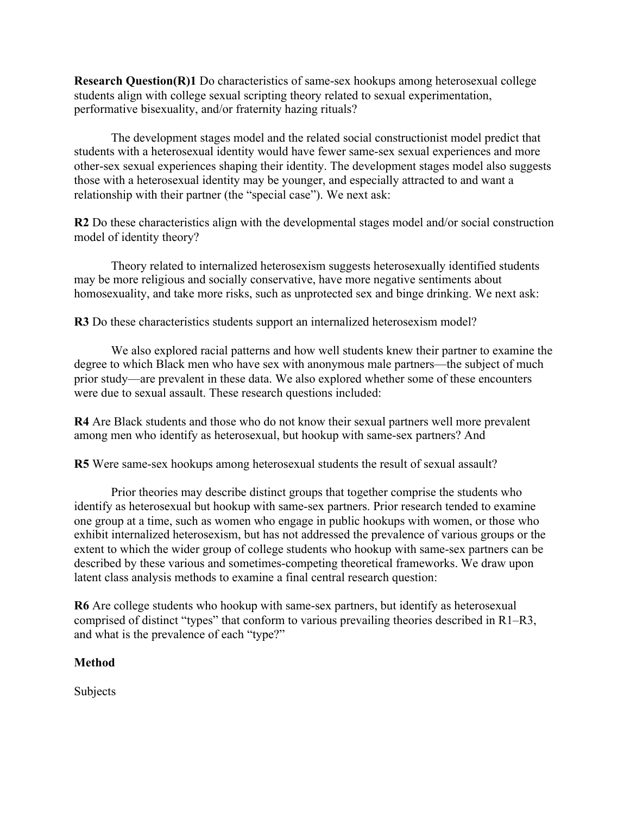**Research Question(R)1** Do characteristics of same-sex hookups among heterosexual college students align with college sexual scripting theory related to sexual experimentation, performative bisexuality, and/or fraternity hazing rituals?

The development stages model and the related social constructionist model predict that students with a heterosexual identity would have fewer same-sex sexual experiences and more other-sex sexual experiences shaping their identity. The development stages model also suggests those with a heterosexual identity may be younger, and especially attracted to and want a relationship with their partner (the "special case"). We next ask:

**R2** Do these characteristics align with the developmental stages model and/or social construction model of identity theory?

Theory related to internalized heterosexism suggests heterosexually identified students may be more religious and socially conservative, have more negative sentiments about homosexuality, and take more risks, such as unprotected sex and binge drinking. We next ask:

**R3** Do these characteristics students support an internalized heterosexism model?

We also explored racial patterns and how well students knew their partner to examine the degree to which Black men who have sex with anonymous male partners—the subject of much prior study—are prevalent in these data. We also explored whether some of these encounters were due to sexual assault. These research questions included:

**R4** Are Black students and those who do not know their sexual partners well more prevalent among men who identify as heterosexual, but hookup with same-sex partners? And

**R5** Were same-sex hookups among heterosexual students the result of sexual assault?

Prior theories may describe distinct groups that together comprise the students who identify as heterosexual but hookup with same-sex partners. Prior research tended to examine one group at a time, such as women who engage in public hookups with women, or those who exhibit internalized heterosexism, but has not addressed the prevalence of various groups or the extent to which the wider group of college students who hookup with same-sex partners can be described by these various and sometimes-competing theoretical frameworks. We draw upon latent class analysis methods to examine a final central research question:

**R6** Are college students who hookup with same-sex partners, but identify as heterosexual comprised of distinct "types" that conform to various prevailing theories described in R1–R3, and what is the prevalence of each "type?"

# **Method**

Subjects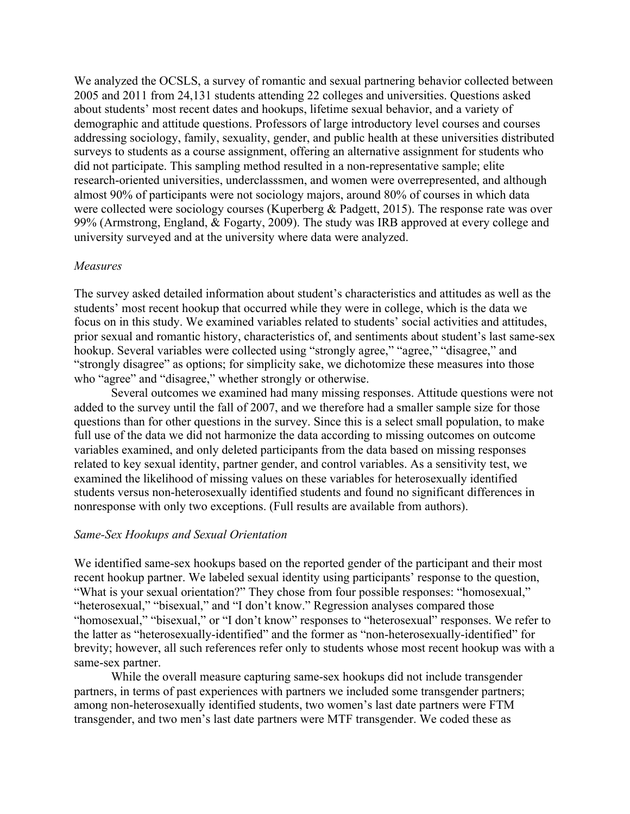We analyzed the OCSLS, a survey of romantic and sexual partnering behavior collected between 2005 and 2011 from 24,131 students attending 22 colleges and universities. Questions asked about students' most recent dates and hookups, lifetime sexual behavior, and a variety of demographic and attitude questions. Professors of large introductory level courses and courses addressing sociology, family, sexuality, gender, and public health at these universities distributed surveys to students as a course assignment, offering an alternative assignment for students who did not participate. This sampling method resulted in a non-representative sample; elite research-oriented universities, underclasssmen, and women were overrepresented, and although almost 90% of participants were not sociology majors, around 80% of courses in which data were collected were sociology courses (Kuperberg & Padgett, 2015). The response rate was over 99% (Armstrong, England, & Fogarty, 2009). The study was IRB approved at every college and university surveyed and at the university where data were analyzed.

#### *Measures*

The survey asked detailed information about student's characteristics and attitudes as well as the students' most recent hookup that occurred while they were in college, which is the data we focus on in this study. We examined variables related to students' social activities and attitudes, prior sexual and romantic history, characteristics of, and sentiments about student's last same-sex hookup. Several variables were collected using "strongly agree," "agree," "disagree," and "strongly disagree" as options; for simplicity sake, we dichotomize these measures into those who "agree" and "disagree," whether strongly or otherwise.

Several outcomes we examined had many missing responses. Attitude questions were not added to the survey until the fall of 2007, and we therefore had a smaller sample size for those questions than for other questions in the survey. Since this is a select small population, to make full use of the data we did not harmonize the data according to missing outcomes on outcome variables examined, and only deleted participants from the data based on missing responses related to key sexual identity, partner gender, and control variables. As a sensitivity test, we examined the likelihood of missing values on these variables for heterosexually identified students versus non-heterosexually identified students and found no significant differences in nonresponse with only two exceptions. (Full results are available from authors).

#### *Same-Sex Hookups and Sexual Orientation*

We identified same-sex hookups based on the reported gender of the participant and their most recent hookup partner. We labeled sexual identity using participants' response to the question, "What is your sexual orientation?" They chose from four possible responses: "homosexual," "heterosexual," "bisexual," and "I don't know." Regression analyses compared those "homosexual," "bisexual," or "I don't know" responses to "heterosexual" responses. We refer to the latter as "heterosexually-identified" and the former as "non-heterosexually-identified" for brevity; however, all such references refer only to students whose most recent hookup was with a same-sex partner.

While the overall measure capturing same-sex hookups did not include transgender partners, in terms of past experiences with partners we included some transgender partners; among non-heterosexually identified students, two women's last date partners were FTM transgender, and two men's last date partners were MTF transgender. We coded these as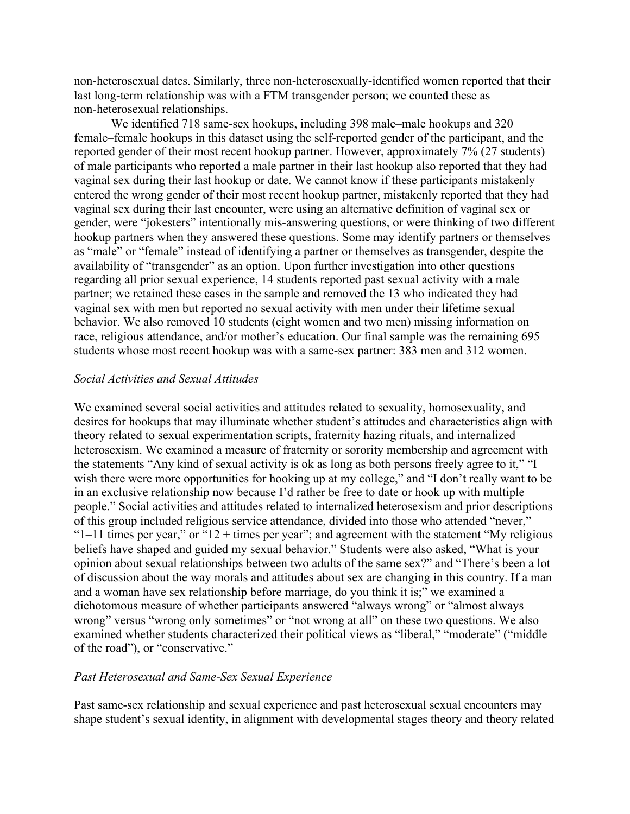non-heterosexual dates. Similarly, three non-heterosexually-identified women reported that their last long-term relationship was with a FTM transgender person; we counted these as non-heterosexual relationships.

We identified 718 same-sex hookups, including 398 male–male hookups and 320 female–female hookups in this dataset using the self-reported gender of the participant, and the reported gender of their most recent hookup partner. However, approximately 7% (27 students) of male participants who reported a male partner in their last hookup also reported that they had vaginal sex during their last hookup or date. We cannot know if these participants mistakenly entered the wrong gender of their most recent hookup partner, mistakenly reported that they had vaginal sex during their last encounter, were using an alternative definition of vaginal sex or gender, were "jokesters" intentionally mis-answering questions, or were thinking of two different hookup partners when they answered these questions. Some may identify partners or themselves as "male" or "female" instead of identifying a partner or themselves as transgender, despite the availability of "transgender" as an option. Upon further investigation into other questions regarding all prior sexual experience, 14 students reported past sexual activity with a male partner; we retained these cases in the sample and removed the 13 who indicated they had vaginal sex with men but reported no sexual activity with men under their lifetime sexual behavior. We also removed 10 students (eight women and two men) missing information on race, religious attendance, and/or mother's education. Our final sample was the remaining 695 students whose most recent hookup was with a same-sex partner: 383 men and 312 women.

### *Social Activities and Sexual Attitudes*

We examined several social activities and attitudes related to sexuality, homosexuality, and desires for hookups that may illuminate whether student's attitudes and characteristics align with theory related to sexual experimentation scripts, fraternity hazing rituals, and internalized heterosexism. We examined a measure of fraternity or sorority membership and agreement with the statements "Any kind of sexual activity is ok as long as both persons freely agree to it," "I wish there were more opportunities for hooking up at my college," and "I don't really want to be in an exclusive relationship now because I'd rather be free to date or hook up with multiple people." Social activities and attitudes related to internalized heterosexism and prior descriptions of this group included religious service attendance, divided into those who attended "never," "1–11 times per year," or "12 + times per year"; and agreement with the statement "My religious" beliefs have shaped and guided my sexual behavior." Students were also asked, "What is your opinion about sexual relationships between two adults of the same sex?" and "There's been a lot of discussion about the way morals and attitudes about sex are changing in this country. If a man and a woman have sex relationship before marriage, do you think it is;" we examined a dichotomous measure of whether participants answered "always wrong" or "almost always wrong" versus "wrong only sometimes" or "not wrong at all" on these two questions. We also examined whether students characterized their political views as "liberal," "moderate" ("middle of the road"), or "conservative."

### *Past Heterosexual and Same-Sex Sexual Experience*

Past same-sex relationship and sexual experience and past heterosexual sexual encounters may shape student's sexual identity, in alignment with developmental stages theory and theory related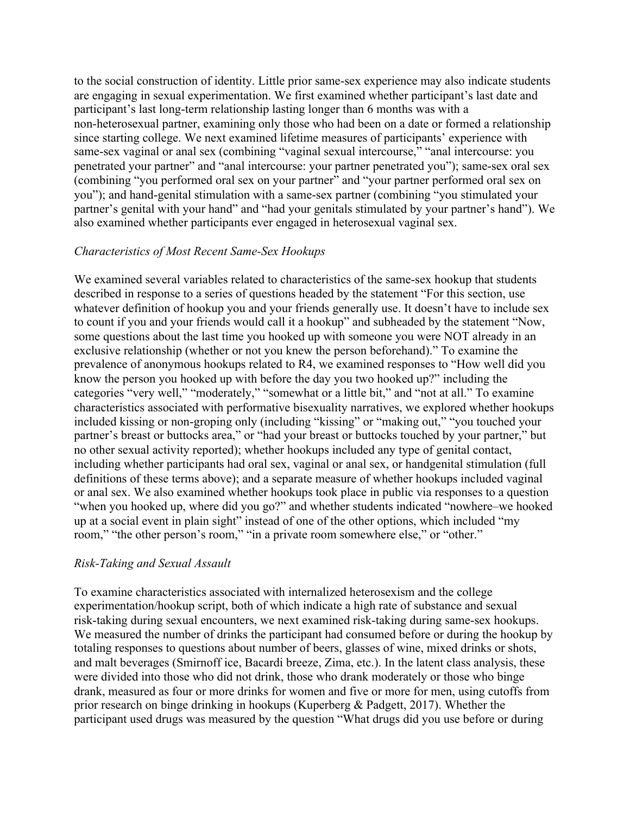to the social construction of identity. Little prior same-sex experience may also indicate students are engaging in sexual experimentation. We first examined whether participant's last date and participant's last long-term relationship lasting longer than 6 months was with a non-heterosexual partner, examining only those who had been on a date or formed a relationship since starting college. We next examined lifetime measures of participants' experience with same-sex vaginal or anal sex (combining "vaginal sexual intercourse," "anal intercourse: you penetrated your partner" and "anal intercourse: your partner penetrated you"); same-sex oral sex (combining "you performed oral sex on your partner" and "your partner performed oral sex on you"); and hand-genital stimulation with a same-sex partner (combining "you stimulated your partner's genital with your hand" and "had your genitals stimulated by your partner's hand"). We also examined whether participants ever engaged in heterosexual vaginal sex.

### *Characteristics of Most Recent Same-Sex Hookups*

We examined several variables related to characteristics of the same-sex hookup that students described in response to a series of questions headed by the statement "For this section, use whatever definition of hookup you and your friends generally use. It doesn't have to include sex to count if you and your friends would call it a hookup" and subheaded by the statement "Now, some questions about the last time you hooked up with someone you were NOT already in an exclusive relationship (whether or not you knew the person beforehand)." To examine the prevalence of anonymous hookups related to R4, we examined responses to "How well did you know the person you hooked up with before the day you two hooked up?" including the categories "very well," "moderately," "somewhat or a little bit," and "not at all." To examine characteristics associated with performative bisexuality narratives, we explored whether hookups included kissing or non-groping only (including "kissing" or "making out," "you touched your partner's breast or buttocks area," or "had your breast or buttocks touched by your partner," but no other sexual activity reported); whether hookups included any type of genital contact, including whether participants had oral sex, vaginal or anal sex, or handgenital stimulation (full definitions of these terms above); and a separate measure of whether hookups included vaginal or anal sex. We also examined whether hookups took place in public via responses to a question "when you hooked up, where did you go?" and whether students indicated "nowhere–we hooked up at a social event in plain sight" instead of one of the other options, which included "my room," "the other person's room," "in a private room somewhere else," or "other."

### *Risk-Taking and Sexual Assault*

To examine characteristics associated with internalized heterosexism and the college experimentation/hookup script, both of which indicate a high rate of substance and sexual risk-taking during sexual encounters, we next examined risk-taking during same-sex hookups. We measured the number of drinks the participant had consumed before or during the hookup by totaling responses to questions about number of beers, glasses of wine, mixed drinks or shots, and malt beverages (Smirnoff ice, Bacardi breeze, Zima, etc.). In the latent class analysis, these were divided into those who did not drink, those who drank moderately or those who binge drank, measured as four or more drinks for women and five or more for men, using cutoffs from prior research on binge drinking in hookups (Kuperberg & Padgett, 2017). Whether the participant used drugs was measured by the question "What drugs did you use before or during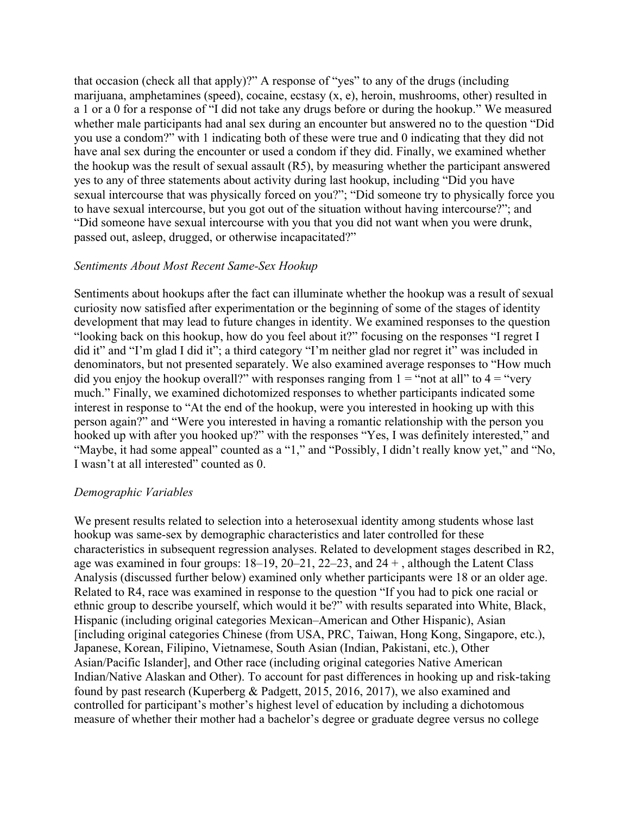that occasion (check all that apply)?" A response of "yes" to any of the drugs (including marijuana, amphetamines (speed), cocaine, ecstasy (x, e), heroin, mushrooms, other) resulted in a 1 or a 0 for a response of "I did not take any drugs before or during the hookup." We measured whether male participants had anal sex during an encounter but answered no to the question "Did you use a condom?" with 1 indicating both of these were true and 0 indicating that they did not have anal sex during the encounter or used a condom if they did. Finally, we examined whether the hookup was the result of sexual assault (R5), by measuring whether the participant answered yes to any of three statements about activity during last hookup, including "Did you have sexual intercourse that was physically forced on you?"; "Did someone try to physically force you to have sexual intercourse, but you got out of the situation without having intercourse?"; and "Did someone have sexual intercourse with you that you did not want when you were drunk, passed out, asleep, drugged, or otherwise incapacitated?"

### *Sentiments About Most Recent Same-Sex Hookup*

Sentiments about hookups after the fact can illuminate whether the hookup was a result of sexual curiosity now satisfied after experimentation or the beginning of some of the stages of identity development that may lead to future changes in identity. We examined responses to the question "looking back on this hookup, how do you feel about it?" focusing on the responses "I regret I did it" and "I'm glad I did it"; a third category "I'm neither glad nor regret it" was included in denominators, but not presented separately. We also examined average responses to "How much did you enjoy the hookup overall?" with responses ranging from  $1 =$  "not at all" to  $4 =$  "very" much." Finally, we examined dichotomized responses to whether participants indicated some interest in response to "At the end of the hookup, were you interested in hooking up with this person again?" and "Were you interested in having a romantic relationship with the person you hooked up with after you hooked up?" with the responses "Yes, I was definitely interested," and "Maybe, it had some appeal" counted as a "1," and "Possibly, I didn't really know yet," and "No, I wasn't at all interested" counted as 0.

# *Demographic Variables*

We present results related to selection into a heterosexual identity among students whose last hookup was same-sex by demographic characteristics and later controlled for these characteristics in subsequent regression analyses. Related to development stages described in R2, age was examined in four groups:  $18-19$ ,  $20-21$ ,  $22-23$ , and  $24 +$ , although the Latent Class Analysis (discussed further below) examined only whether participants were 18 or an older age. Related to R4, race was examined in response to the question "If you had to pick one racial or ethnic group to describe yourself, which would it be?" with results separated into White, Black, Hispanic (including original categories Mexican–American and Other Hispanic), Asian [including original categories Chinese (from USA, PRC, Taiwan, Hong Kong, Singapore, etc.), Japanese, Korean, Filipino, Vietnamese, South Asian (Indian, Pakistani, etc.), Other Asian/Pacific Islander], and Other race (including original categories Native American Indian/Native Alaskan and Other). To account for past differences in hooking up and risk-taking found by past research (Kuperberg & Padgett, 2015, 2016, 2017), we also examined and controlled for participant's mother's highest level of education by including a dichotomous measure of whether their mother had a bachelor's degree or graduate degree versus no college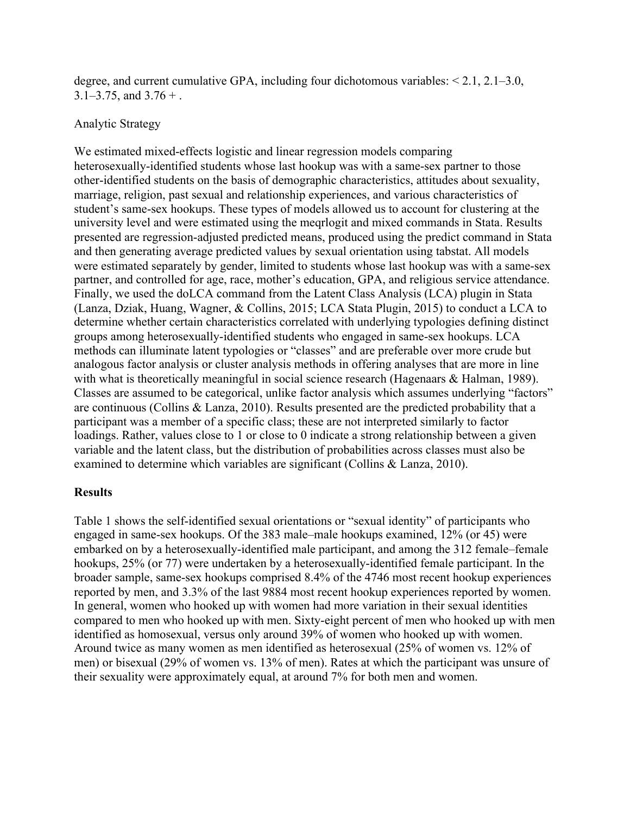degree, and current cumulative GPA, including four dichotomous variables: < 2.1, 2.1–3.0, 3.1–3.75, and  $3.76 +$ .

### Analytic Strategy

We estimated mixed-effects logistic and linear regression models comparing heterosexually-identified students whose last hookup was with a same-sex partner to those other-identified students on the basis of demographic characteristics, attitudes about sexuality, marriage, religion, past sexual and relationship experiences, and various characteristics of student's same-sex hookups. These types of models allowed us to account for clustering at the university level and were estimated using the meqrlogit and mixed commands in Stata. Results presented are regression-adjusted predicted means, produced using the predict command in Stata and then generating average predicted values by sexual orientation using tabstat. All models were estimated separately by gender, limited to students whose last hookup was with a same-sex partner, and controlled for age, race, mother's education, GPA, and religious service attendance. Finally, we used the doLCA command from the Latent Class Analysis (LCA) plugin in Stata (Lanza, Dziak, Huang, Wagner, & Collins, 2015; LCA Stata Plugin, 2015) to conduct a LCA to determine whether certain characteristics correlated with underlying typologies defining distinct groups among heterosexually-identified students who engaged in same-sex hookups. LCA methods can illuminate latent typologies or "classes" and are preferable over more crude but analogous factor analysis or cluster analysis methods in offering analyses that are more in line with what is theoretically meaningful in social science research (Hagenaars & Halman, 1989). Classes are assumed to be categorical, unlike factor analysis which assumes underlying "factors" are continuous (Collins & Lanza, 2010). Results presented are the predicted probability that a participant was a member of a specific class; these are not interpreted similarly to factor loadings. Rather, values close to 1 or close to 0 indicate a strong relationship between a given variable and the latent class, but the distribution of probabilities across classes must also be examined to determine which variables are significant (Collins & Lanza, 2010).

# **Results**

Table 1 shows the self-identified sexual orientations or "sexual identity" of participants who engaged in same-sex hookups. Of the 383 male–male hookups examined, 12% (or 45) were embarked on by a heterosexually-identified male participant, and among the 312 female–female hookups, 25% (or 77) were undertaken by a heterosexually-identified female participant. In the broader sample, same-sex hookups comprised 8.4% of the 4746 most recent hookup experiences reported by men, and 3.3% of the last 9884 most recent hookup experiences reported by women. In general, women who hooked up with women had more variation in their sexual identities compared to men who hooked up with men. Sixty-eight percent of men who hooked up with men identified as homosexual, versus only around 39% of women who hooked up with women. Around twice as many women as men identified as heterosexual (25% of women vs. 12% of men) or bisexual (29% of women vs. 13% of men). Rates at which the participant was unsure of their sexuality were approximately equal, at around 7% for both men and women.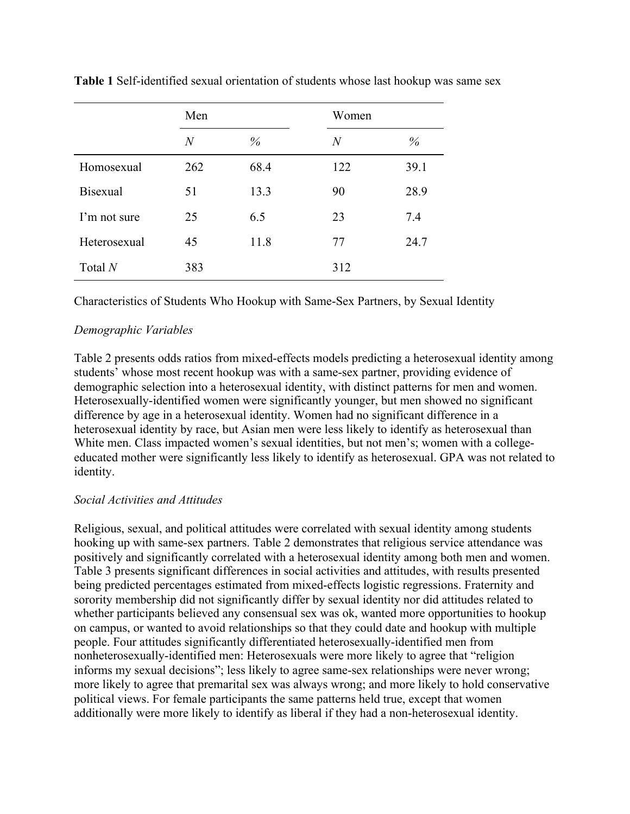|                 | Men            |      | Women |      |
|-----------------|----------------|------|-------|------|
|                 | $\overline{N}$ | %    | N     | $\%$ |
| Homosexual      | 262            | 68.4 | 122   | 39.1 |
| <b>Bisexual</b> | 51             | 13.3 | 90    | 28.9 |
| I'm not sure    | 25             | 6.5  | 23    | 7.4  |
| Heterosexual    | 45             | 11.8 | 77    | 24.7 |
| Total $N$       | 383            |      | 312   |      |

**Table 1** Self-identified sexual orientation of students whose last hookup was same sex

Characteristics of Students Who Hookup with Same-Sex Partners, by Sexual Identity

# *Demographic Variables*

Table 2 presents odds ratios from mixed-effects models predicting a heterosexual identity among students' whose most recent hookup was with a same-sex partner, providing evidence of demographic selection into a heterosexual identity, with distinct patterns for men and women. Heterosexually-identified women were significantly younger, but men showed no significant difference by age in a heterosexual identity. Women had no significant difference in a heterosexual identity by race, but Asian men were less likely to identify as heterosexual than White men. Class impacted women's sexual identities, but not men's; women with a collegeeducated mother were significantly less likely to identify as heterosexual. GPA was not related to identity.

# *Social Activities and Attitudes*

Religious, sexual, and political attitudes were correlated with sexual identity among students hooking up with same-sex partners. Table 2 demonstrates that religious service attendance was positively and significantly correlated with a heterosexual identity among both men and women. Table 3 presents significant differences in social activities and attitudes, with results presented being predicted percentages estimated from mixed-effects logistic regressions. Fraternity and sorority membership did not significantly differ by sexual identity nor did attitudes related to whether participants believed any consensual sex was ok, wanted more opportunities to hookup on campus, or wanted to avoid relationships so that they could date and hookup with multiple people. Four attitudes significantly differentiated heterosexually-identified men from nonheterosexually-identified men: Heterosexuals were more likely to agree that "religion informs my sexual decisions"; less likely to agree same-sex relationships were never wrong; more likely to agree that premarital sex was always wrong; and more likely to hold conservative political views. For female participants the same patterns held true, except that women additionally were more likely to identify as liberal if they had a non-heterosexual identity.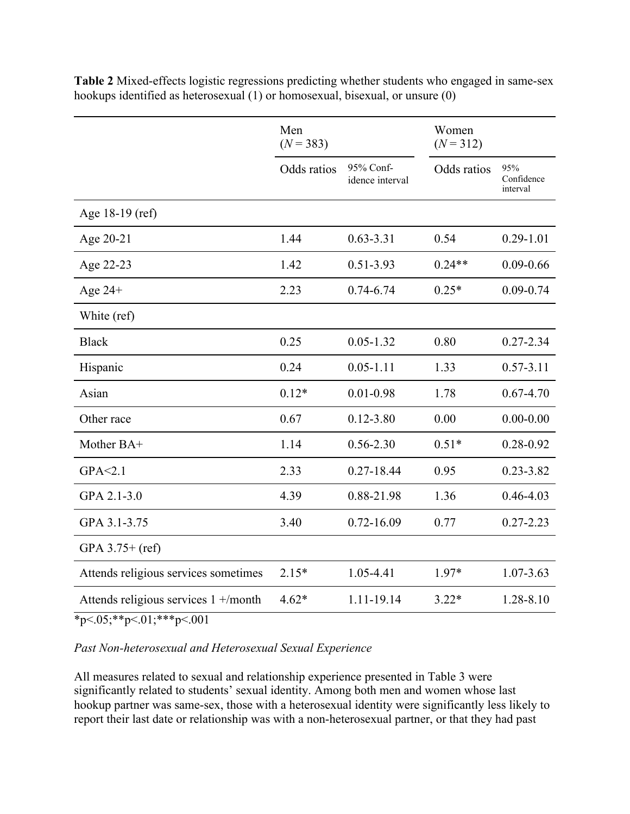|                                          | Men<br>$(N = 383)$ |                              | Women<br>$(N = 312)$ |                               |
|------------------------------------------|--------------------|------------------------------|----------------------|-------------------------------|
|                                          | Odds ratios        | 95% Conf-<br>idence interval | Odds ratios          | 95%<br>Confidence<br>interval |
| Age 18-19 (ref)                          |                    |                              |                      |                               |
| Age 20-21                                | 1.44               | $0.63 - 3.31$                | 0.54                 | $0.29 - 1.01$                 |
| Age 22-23                                | 1.42               | $0.51 - 3.93$                | $0.24**$             | $0.09 - 0.66$                 |
| Age $24+$                                | 2.23               | $0.74 - 6.74$                | $0.25*$              | $0.09 - 0.74$                 |
| White (ref)                              |                    |                              |                      |                               |
| <b>Black</b>                             | 0.25               | $0.05 - 1.32$                | 0.80                 | $0.27 - 2.34$                 |
| Hispanic                                 | 0.24               | $0.05 - 1.11$                | 1.33                 | $0.57 - 3.11$                 |
| Asian                                    | $0.12*$            | $0.01 - 0.98$                | 1.78                 | $0.67 - 4.70$                 |
| Other race                               | 0.67               | $0.12 - 3.80$                | 0.00                 | $0.00 - 0.00$                 |
| Mother BA+                               | 1.14               | $0.56 - 2.30$                | $0.51*$              | 0.28-0.92                     |
| GPA < 2.1                                | 2.33               | 0.27-18.44                   | 0.95                 | $0.23 - 3.82$                 |
| GPA 2.1-3.0                              | 4.39               | 0.88-21.98                   | 1.36                 | $0.46 - 4.03$                 |
| GPA 3.1-3.75                             | 3.40               | $0.72 - 16.09$               | 0.77                 | $0.27 - 2.23$                 |
| GPA $3.75+$ (ref)                        |                    |                              |                      |                               |
| Attends religious services sometimes     | $2.15*$            | 1.05-4.41                    | $1.97*$              | 1.07-3.63                     |
| Attends religious services $1 + /$ month | $4.62*$            | 1.11-19.14                   | $3.22*$              | 1.28-8.10                     |

**Table 2** Mixed-effects logistic regressions predicting whether students who engaged in same-sex hookups identified as heterosexual (1) or homosexual, bisexual, or unsure (0)

 $*p<.05; **p<.01; **p<.001$ 

# *Past Non-heterosexual and Heterosexual Sexual Experience*

All measures related to sexual and relationship experience presented in Table 3 were significantly related to students' sexual identity. Among both men and women whose last hookup partner was same-sex, those with a heterosexual identity were significantly less likely to report their last date or relationship was with a non-heterosexual partner, or that they had past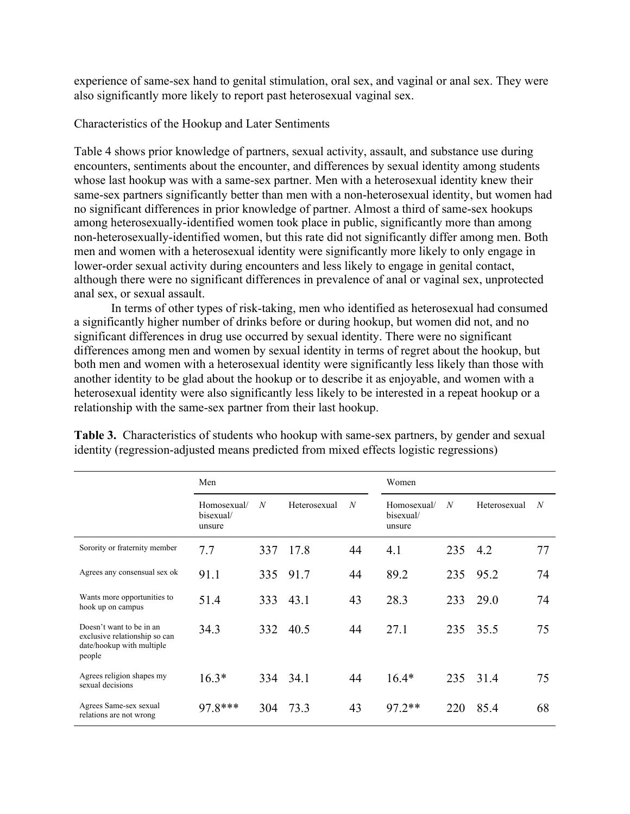experience of same-sex hand to genital stimulation, oral sex, and vaginal or anal sex. They were also significantly more likely to report past heterosexual vaginal sex.

Characteristics of the Hookup and Later Sentiments

Table 4 shows prior knowledge of partners, sexual activity, assault, and substance use during encounters, sentiments about the encounter, and differences by sexual identity among students whose last hookup was with a same-sex partner. Men with a heterosexual identity knew their same-sex partners significantly better than men with a non-heterosexual identity, but women had no significant differences in prior knowledge of partner. Almost a third of same-sex hookups among heterosexually-identified women took place in public, significantly more than among non-heterosexually-identified women, but this rate did not significantly differ among men. Both men and women with a heterosexual identity were significantly more likely to only engage in lower-order sexual activity during encounters and less likely to engage in genital contact, although there were no significant differences in prevalence of anal or vaginal sex, unprotected anal sex, or sexual assault.

In terms of other types of risk-taking, men who identified as heterosexual had consumed a significantly higher number of drinks before or during hookup, but women did not, and no significant differences in drug use occurred by sexual identity. There were no significant differences among men and women by sexual identity in terms of regret about the hookup, but both men and women with a heterosexual identity were significantly less likely than those with another identity to be glad about the hookup or to describe it as enjoyable, and women with a heterosexual identity were also significantly less likely to be interested in a repeat hookup or a relationship with the same-sex partner from their last hookup.

|                                                                                                  | Men                                |     | Women        |                  |                                    |     |              |                  |
|--------------------------------------------------------------------------------------------------|------------------------------------|-----|--------------|------------------|------------------------------------|-----|--------------|------------------|
|                                                                                                  | Homosexual/<br>bisexual/<br>unsure | N   | Heterosexual | $\boldsymbol{N}$ | Homosexual/<br>bisexual/<br>unsure | N   | Heterosexual | $\boldsymbol{N}$ |
| Sorority or fraternity member                                                                    | 7.7                                | 337 | 17.8         | 44               | 4.1                                | 235 | 4.2          | 77               |
| Agrees any consensual sex ok                                                                     | 91.1                               | 335 | 91.7         | 44               | 89.2                               | 235 | 95.2         | 74               |
| Wants more opportunities to<br>hook up on campus                                                 | 51.4                               | 333 | 43.1         | 43               | 28.3                               | 233 | 29.0         | 74               |
| Doesn't want to be in an<br>exclusive relationship so can<br>date/hookup with multiple<br>people | 34.3                               | 332 | 40.5         | 44               | 27.1                               | 235 | 35.5         | 75               |
| Agrees religion shapes my<br>sexual decisions                                                    | $16.3*$                            | 334 | 34.1         | 44               | $16.4*$                            | 235 | 31.4         | 75               |
| Agrees Same-sex sexual<br>relations are not wrong                                                | 97.8***                            | 304 | 73.3         | 43               | $97.2**$                           | 220 | 85.4         | 68               |

Table 3. Characteristics of students who hookup with same-sex partners, by gender and sexual identity (regression-adjusted means predicted from mixed effects logistic regressions)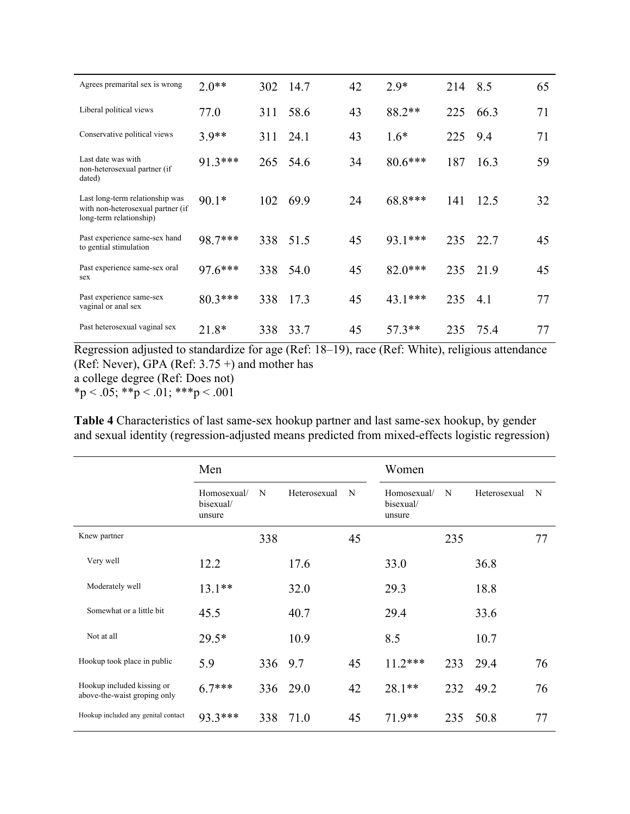| Agrees premarital sex is wrong                                                                  | $2.0**$   | 302 | 14.7 | 42 | $2.9*$    | 214 | 8.5  | 65 |
|-------------------------------------------------------------------------------------------------|-----------|-----|------|----|-----------|-----|------|----|
| Liberal political views                                                                         | 77.0      | 311 | 58.6 | 43 | 88.2**    | 225 | 66.3 | 71 |
| Conservative political views                                                                    | $3.9**$   | 311 | 24.1 | 43 | $1.6*$    | 225 | 9.4  | 71 |
| Last date was with<br>non-heterosexual partner (if<br>dated)                                    | 91.3***   | 265 | 54.6 | 34 | $80.6***$ | 187 | 16.3 | 59 |
| Last long-term relationship was<br>with non-heterosexual partner (if<br>long-term relationship) | $90.1*$   | 102 | 69.9 | 24 | 68.8***   | 141 | 12.5 | 32 |
| Past experience same-sex hand<br>to gential stimulation                                         | 98.7***   | 338 | 51.5 | 45 | 93.1***   | 235 | 22.7 | 45 |
| Past experience same-sex oral<br>sex                                                            | $97.6***$ | 338 | 54.0 | 45 | $82.0***$ | 235 | 21.9 | 45 |
| Past experience same-sex<br>vaginal or anal sex                                                 | $80.3***$ | 338 | 17.3 | 45 | 43.1***   | 235 | 4.1  | 77 |
| Past heterosexual vaginal sex                                                                   | 21.8*     | 338 | 33.7 | 45 | $57.3**$  | 235 | 75.4 | 77 |

Regression adjusted to standardize for age (Ref: 18–19), race (Ref: White), religious attendance (Ref: Never), GPA (Ref:  $3.75 +$ ) and mother has a college degree (Ref: Does not) \*p < .05; \*\*p < .01; \*\*\*p < .001

**Table 4** Characteristics of last same-sex hookup partner and last same-sex hookup, by gender and sexual identity (regression-adjusted means predicted from mixed-effects logistic regression)

|                                                            | Men                                |     |              |    | Women                              |     |              |    |
|------------------------------------------------------------|------------------------------------|-----|--------------|----|------------------------------------|-----|--------------|----|
|                                                            | Homosexual/<br>bisexual/<br>unsure | N   | Heterosexual | N  | Homosexual/<br>bisexual/<br>unsure | N   | Heterosexual | N  |
| Knew partner                                               |                                    | 338 |              | 45 |                                    | 235 |              | 77 |
| Very well                                                  | 12.2                               |     | 17.6         |    | 33.0                               |     | 36.8         |    |
| Moderately well                                            | $13.1**$                           |     | 32.0         |    | 29.3                               |     | 18.8         |    |
| Somewhat or a little bit                                   | 45.5                               |     | 40.7         |    | 29.4                               |     | 33.6         |    |
| Not at all                                                 | $29.5*$                            |     | 10.9         |    | 8.5                                |     | 10.7         |    |
| Hookup took place in public                                | 5.9                                | 336 | 9.7          | 45 | $11.2***$                          | 233 | 29.4         | 76 |
| Hookup included kissing or<br>above-the-waist groping only | $6.7***$                           |     | 336 29.0     | 42 | 28.1**                             | 232 | 49.2         | 76 |
| Hookup included any genital contact                        | 93.3***                            | 338 | 71.0         | 45 | 71.9**                             | 235 | 50.8         | 77 |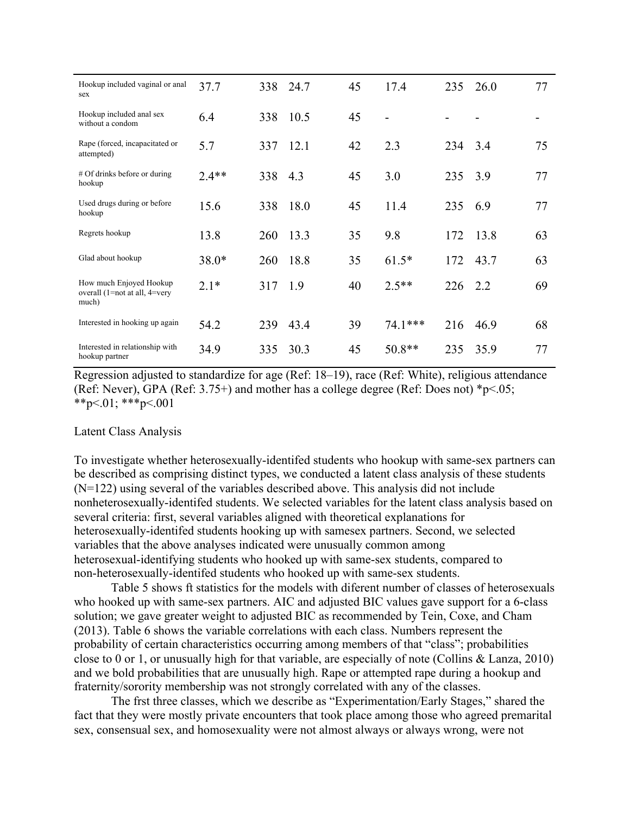| Hookup included vaginal or anal<br>sex                            | 37.7    | 338 | 24.7 | 45 | 17.4                     | 235 | 26.0 | 77 |
|-------------------------------------------------------------------|---------|-----|------|----|--------------------------|-----|------|----|
| Hookup included anal sex<br>without a condom                      | 6.4     | 338 | 10.5 | 45 | $\overline{\phantom{0}}$ |     |      | -  |
| Rape (forced, incapacitated or<br>attempted)                      | 5.7     | 337 | 12.1 | 42 | 2.3                      | 234 | 3.4  | 75 |
| $#$ Of drinks before or during<br>hookup                          | $2.4**$ | 338 | 4.3  | 45 | 3.0                      | 235 | 3.9  | 77 |
| Used drugs during or before<br>hookup                             | 15.6    | 338 | 18.0 | 45 | 11.4                     | 235 | 6.9  | 77 |
| Regrets hookup                                                    | 13.8    | 260 | 13.3 | 35 | 9.8                      | 172 | 13.8 | 63 |
| Glad about hookup                                                 | 38.0*   | 260 | 18.8 | 35 | $61.5*$                  | 172 | 43.7 | 63 |
| How much Enjoyed Hookup<br>overall (1=not at all, 4=very<br>much) | $2.1*$  | 317 | 1.9  | 40 | $2.5**$                  | 226 | 2.2  | 69 |
| Interested in hooking up again                                    | 54.2    | 239 | 43.4 | 39 | 74.1***                  | 216 | 46.9 | 68 |
| Interested in relationship with<br>hookup partner                 | 34.9    | 335 | 30.3 | 45 | 50.8**                   | 235 | 35.9 | 77 |

Regression adjusted to standardize for age (Ref: 18–19), race (Ref: White), religious attendance (Ref: Never), GPA (Ref: 3.75+) and mother has a college degree (Ref: Does not)  $p<05$ ;  $*p<.01$ ;  $**p<.001$ 

#### Latent Class Analysis

To investigate whether heterosexually-identifed students who hookup with same-sex partners can be described as comprising distinct types, we conducted a latent class analysis of these students (N=122) using several of the variables described above. This analysis did not include nonheterosexually-identifed students. We selected variables for the latent class analysis based on several criteria: first, several variables aligned with theoretical explanations for heterosexually-identifed students hooking up with samesex partners. Second, we selected variables that the above analyses indicated were unusually common among heterosexual-identifying students who hooked up with same-sex students, compared to non-heterosexually-identifed students who hooked up with same-sex students.

Table 5 shows ft statistics for the models with diferent number of classes of heterosexuals who hooked up with same-sex partners. AIC and adjusted BIC values gave support for a 6-class solution; we gave greater weight to adjusted BIC as recommended by Tein, Coxe, and Cham (2013). Table 6 shows the variable correlations with each class. Numbers represent the probability of certain characteristics occurring among members of that "class"; probabilities close to 0 or 1, or unusually high for that variable, are especially of note (Collins & Lanza, 2010) and we bold probabilities that are unusually high. Rape or attempted rape during a hookup and fraternity/sorority membership was not strongly correlated with any of the classes.

The frst three classes, which we describe as "Experimentation/Early Stages," shared the fact that they were mostly private encounters that took place among those who agreed premarital sex, consensual sex, and homosexuality were not almost always or always wrong, were not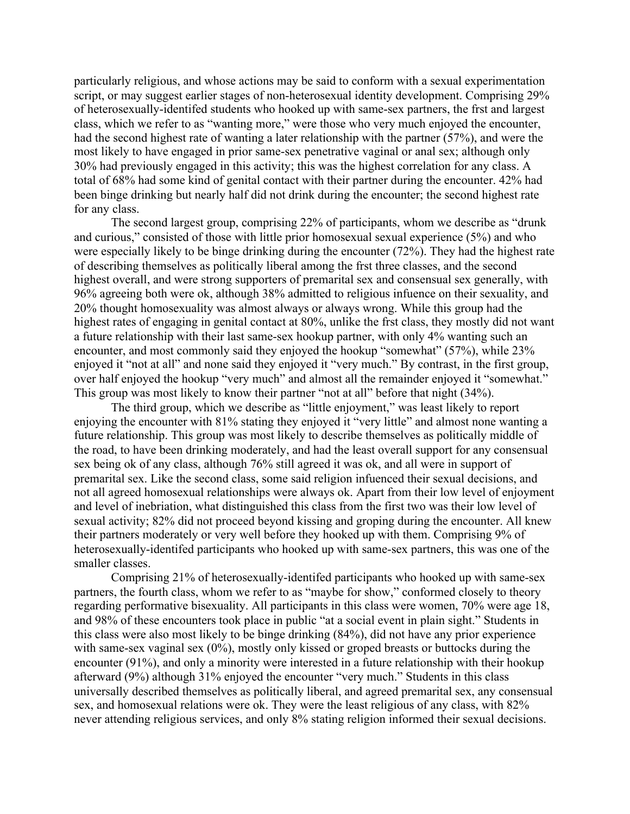particularly religious, and whose actions may be said to conform with a sexual experimentation script, or may suggest earlier stages of non-heterosexual identity development. Comprising 29% of heterosexually-identifed students who hooked up with same-sex partners, the frst and largest class, which we refer to as "wanting more," were those who very much enjoyed the encounter, had the second highest rate of wanting a later relationship with the partner (57%), and were the most likely to have engaged in prior same-sex penetrative vaginal or anal sex; although only 30% had previously engaged in this activity; this was the highest correlation for any class. A total of 68% had some kind of genital contact with their partner during the encounter. 42% had been binge drinking but nearly half did not drink during the encounter; the second highest rate for any class.

The second largest group, comprising 22% of participants, whom we describe as "drunk and curious," consisted of those with little prior homosexual sexual experience (5%) and who were especially likely to be binge drinking during the encounter (72%). They had the highest rate of describing themselves as politically liberal among the frst three classes, and the second highest overall, and were strong supporters of premarital sex and consensual sex generally, with 96% agreeing both were ok, although 38% admitted to religious infuence on their sexuality, and 20% thought homosexuality was almost always or always wrong. While this group had the highest rates of engaging in genital contact at 80%, unlike the frst class, they mostly did not want a future relationship with their last same-sex hookup partner, with only 4% wanting such an encounter, and most commonly said they enjoyed the hookup "somewhat" (57%), while 23% enjoyed it "not at all" and none said they enjoyed it "very much." By contrast, in the first group, over half enjoyed the hookup "very much" and almost all the remainder enjoyed it "somewhat." This group was most likely to know their partner "not at all" before that night (34%).

The third group, which we describe as "little enjoyment," was least likely to report enjoying the encounter with 81% stating they enjoyed it "very little" and almost none wanting a future relationship. This group was most likely to describe themselves as politically middle of the road, to have been drinking moderately, and had the least overall support for any consensual sex being ok of any class, although 76% still agreed it was ok, and all were in support of premarital sex. Like the second class, some said religion infuenced their sexual decisions, and not all agreed homosexual relationships were always ok. Apart from their low level of enjoyment and level of inebriation, what distinguished this class from the first two was their low level of sexual activity; 82% did not proceed beyond kissing and groping during the encounter. All knew their partners moderately or very well before they hooked up with them. Comprising 9% of heterosexually-identifed participants who hooked up with same-sex partners, this was one of the smaller classes.

Comprising 21% of heterosexually-identifed participants who hooked up with same-sex partners, the fourth class, whom we refer to as "maybe for show," conformed closely to theory regarding performative bisexuality. All participants in this class were women, 70% were age 18, and 98% of these encounters took place in public "at a social event in plain sight." Students in this class were also most likely to be binge drinking (84%), did not have any prior experience with same-sex vaginal sex (0%), mostly only kissed or groped breasts or buttocks during the encounter (91%), and only a minority were interested in a future relationship with their hookup afterward (9%) although 31% enjoyed the encounter "very much." Students in this class universally described themselves as politically liberal, and agreed premarital sex, any consensual sex, and homosexual relations were ok. They were the least religious of any class, with 82% never attending religious services, and only 8% stating religion informed their sexual decisions.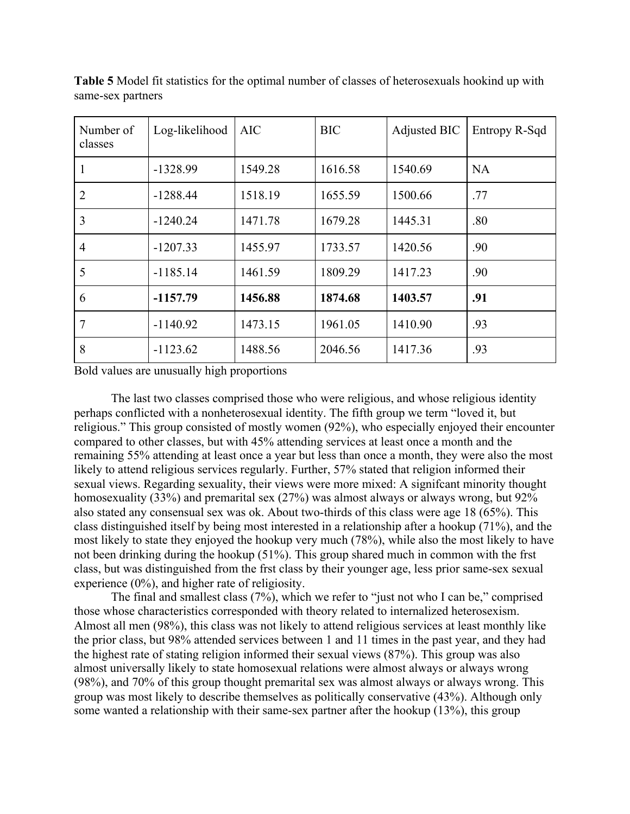| Number of<br>classes | Log-likelihood | <b>AIC</b> | <b>BIC</b> | <b>Adjusted BIC</b> | Entropy R-Sqd |
|----------------------|----------------|------------|------------|---------------------|---------------|
|                      | $-1328.99$     | 1549.28    | 1616.58    | 1540.69             | <b>NA</b>     |
| $\overline{2}$       | $-1288.44$     | 1518.19    | 1655.59    | 1500.66             | .77           |
| 3                    | $-1240.24$     | 1471.78    | 1679.28    | 1445.31             | .80           |
| $\overline{4}$       | $-1207.33$     | 1455.97    | 1733.57    | 1420.56             | .90           |
| 5                    | $-1185.14$     | 1461.59    | 1809.29    | 1417.23             | .90           |
| 6                    | $-1157.79$     | 1456.88    | 1874.68    | 1403.57             | .91           |
| 7                    | $-1140.92$     | 1473.15    | 1961.05    | 1410.90             | .93           |
| 8                    | $-1123.62$     | 1488.56    | 2046.56    | 1417.36             | .93           |

**Table 5** Model fit statistics for the optimal number of classes of heterosexuals hookind up with same-sex partners

Bold values are unusually high proportions

The last two classes comprised those who were religious, and whose religious identity perhaps conflicted with a nonheterosexual identity. The fifth group we term "loved it, but religious." This group consisted of mostly women (92%), who especially enjoyed their encounter compared to other classes, but with 45% attending services at least once a month and the remaining 55% attending at least once a year but less than once a month, they were also the most likely to attend religious services regularly. Further, 57% stated that religion informed their sexual views. Regarding sexuality, their views were more mixed: A signifcant minority thought homosexuality (33%) and premarital sex (27%) was almost always or always wrong, but 92% also stated any consensual sex was ok. About two-thirds of this class were age 18 (65%). This class distinguished itself by being most interested in a relationship after a hookup (71%), and the most likely to state they enjoyed the hookup very much (78%), while also the most likely to have not been drinking during the hookup (51%). This group shared much in common with the frst class, but was distinguished from the frst class by their younger age, less prior same-sex sexual experience (0%), and higher rate of religiosity.

The final and smallest class (7%), which we refer to "just not who I can be," comprised those whose characteristics corresponded with theory related to internalized heterosexism. Almost all men (98%), this class was not likely to attend religious services at least monthly like the prior class, but 98% attended services between 1 and 11 times in the past year, and they had the highest rate of stating religion informed their sexual views (87%). This group was also almost universally likely to state homosexual relations were almost always or always wrong (98%), and 70% of this group thought premarital sex was almost always or always wrong. This group was most likely to describe themselves as politically conservative (43%). Although only some wanted a relationship with their same-sex partner after the hookup (13%), this group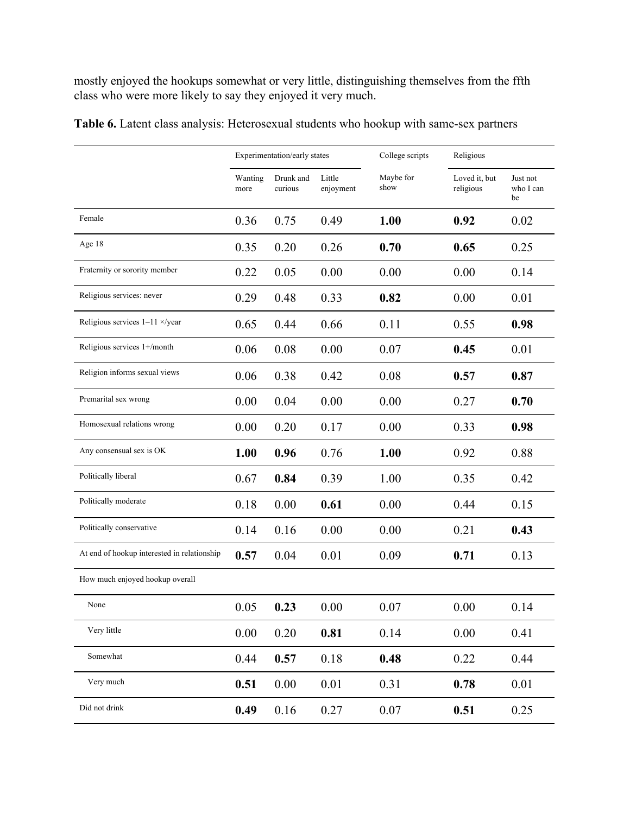mostly enjoyed the hookups somewhat or very little, distinguishing themselves from the ffth class who were more likely to say they enjoyed it very much.

|                                             | Experimentation/early states |                      |                     | College scripts   | Religious                  |                             |  |
|---------------------------------------------|------------------------------|----------------------|---------------------|-------------------|----------------------------|-----------------------------|--|
|                                             | Wanting<br>more              | Drunk and<br>curious | Little<br>enjoyment | Maybe for<br>show | Loved it, but<br>religious | Just not<br>who I can<br>be |  |
| Female                                      | 0.36                         | 0.75                 | 0.49                | 1.00              | 0.92                       | 0.02                        |  |
| Age 18                                      | 0.35                         | 0.20                 | 0.26                | 0.70              | 0.65                       | 0.25                        |  |
| Fraternity or sorority member               | 0.22                         | 0.05                 | 0.00                | 0.00              | 0.00                       | 0.14                        |  |
| Religious services: never                   | 0.29                         | 0.48                 | 0.33                | 0.82              | 0.00                       | 0.01                        |  |
| Religious services $1-11 \times$            | 0.65                         | 0.44                 | 0.66                | 0.11              | 0.55                       | 0.98                        |  |
| Religious services 1+/month                 | 0.06                         | 0.08                 | 0.00                | 0.07              | 0.45                       | 0.01                        |  |
| Religion informs sexual views               | 0.06                         | 0.38                 | 0.42                | 0.08              | 0.57                       | 0.87                        |  |
| Premarital sex wrong                        | 0.00                         | 0.04                 | 0.00                | 0.00              | 0.27                       | 0.70                        |  |
| Homosexual relations wrong                  | 0.00                         | 0.20                 | 0.17                | 0.00              | 0.33                       | 0.98                        |  |
| Any consensual sex is OK                    | 1.00                         | 0.96                 | 0.76                | 1.00              | 0.92                       | 0.88                        |  |
| Politically liberal                         | 0.67                         | 0.84                 | 0.39                | 1.00              | 0.35                       | 0.42                        |  |
| Politically moderate                        | 0.18                         | 0.00                 | 0.61                | 0.00              | 0.44                       | 0.15                        |  |
| Politically conservative                    | 0.14                         | 0.16                 | 0.00                | 0.00              | 0.21                       | 0.43                        |  |
| At end of hookup interested in relationship | 0.57                         | 0.04                 | 0.01                | 0.09              | 0.71                       | 0.13                        |  |
| How much enjoyed hookup overall             |                              |                      |                     |                   |                            |                             |  |
| None                                        | $0.05$ 0.23                  |                      | $0.00\,$            | $0.07\,$          | 0.00                       | 0.14                        |  |
| Very little                                 | 0.00                         | 0.20                 | 0.81                | 0.14              | 0.00                       | 0.41                        |  |
| Somewhat                                    | 0.44                         | 0.57                 | 0.18                | 0.48              | 0.22                       | 0.44                        |  |
| Very much                                   | 0.51                         | 0.00                 | 0.01                | 0.31              | 0.78                       | 0.01                        |  |
| Did not drink                               | 0.49                         | 0.16                 | 0.27                | 0.07              | 0.51                       | 0.25                        |  |

**Table 6.** Latent class analysis: Heterosexual students who hookup with same-sex partners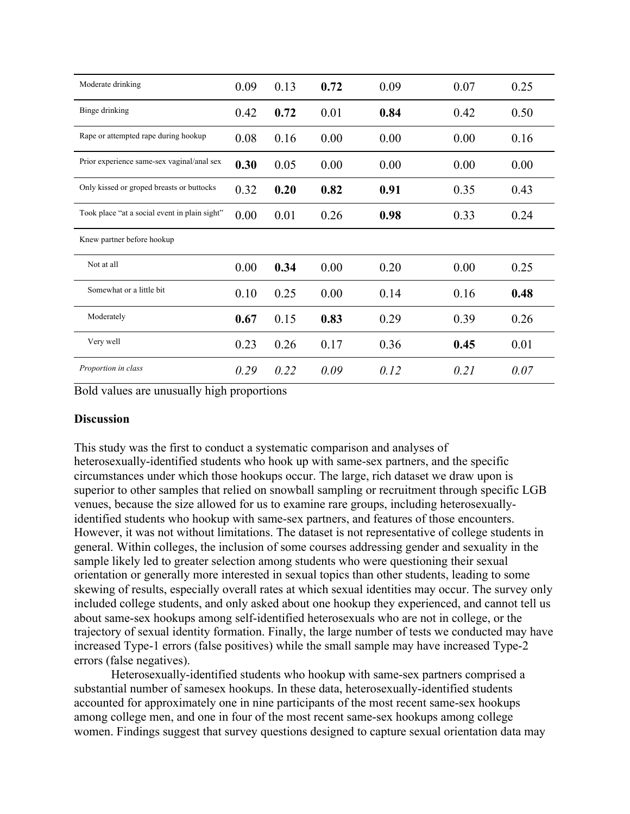| Moderate drinking                             | 0.09 | 0.13 | 0.72 | 0.09 | 0.07 | 0.25 |
|-----------------------------------------------|------|------|------|------|------|------|
| Binge drinking                                | 0.42 | 0.72 | 0.01 | 0.84 | 0.42 | 0.50 |
| Rape or attempted rape during hookup          | 0.08 | 0.16 | 0.00 | 0.00 | 0.00 | 0.16 |
| Prior experience same-sex vaginal/anal sex    | 0.30 | 0.05 | 0.00 | 0.00 | 0.00 | 0.00 |
| Only kissed or groped breasts or buttocks     | 0.32 | 0.20 | 0.82 | 0.91 | 0.35 | 0.43 |
| Took place "at a social event in plain sight" | 0.00 | 0.01 | 0.26 | 0.98 | 0.33 | 0.24 |
| Knew partner before hookup                    |      |      |      |      |      |      |
| Not at all                                    | 0.00 | 0.34 | 0.00 | 0.20 | 0.00 | 0.25 |
| Somewhat or a little bit                      | 0.10 | 0.25 | 0.00 | 0.14 | 0.16 | 0.48 |
| Moderately                                    | 0.67 | 0.15 | 0.83 | 0.29 | 0.39 | 0.26 |
| Very well                                     | 0.23 | 0.26 | 0.17 | 0.36 | 0.45 | 0.01 |
| Proportion in class                           | 0.29 | 0.22 | 0.09 | 0.12 | 0.21 | 0.07 |

Bold values are unusually high proportions

### **Discussion**

This study was the first to conduct a systematic comparison and analyses of heterosexually-identified students who hook up with same-sex partners, and the specific circumstances under which those hookups occur. The large, rich dataset we draw upon is superior to other samples that relied on snowball sampling or recruitment through specific LGB venues, because the size allowed for us to examine rare groups, including heterosexuallyidentified students who hookup with same-sex partners, and features of those encounters. However, it was not without limitations. The dataset is not representative of college students in general. Within colleges, the inclusion of some courses addressing gender and sexuality in the sample likely led to greater selection among students who were questioning their sexual orientation or generally more interested in sexual topics than other students, leading to some skewing of results, especially overall rates at which sexual identities may occur. The survey only included college students, and only asked about one hookup they experienced, and cannot tell us about same-sex hookups among self-identified heterosexuals who are not in college, or the trajectory of sexual identity formation. Finally, the large number of tests we conducted may have increased Type-1 errors (false positives) while the small sample may have increased Type-2 errors (false negatives).

Heterosexually-identified students who hookup with same-sex partners comprised a substantial number of samesex hookups. In these data, heterosexually-identified students accounted for approximately one in nine participants of the most recent same-sex hookups among college men, and one in four of the most recent same-sex hookups among college women. Findings suggest that survey questions designed to capture sexual orientation data may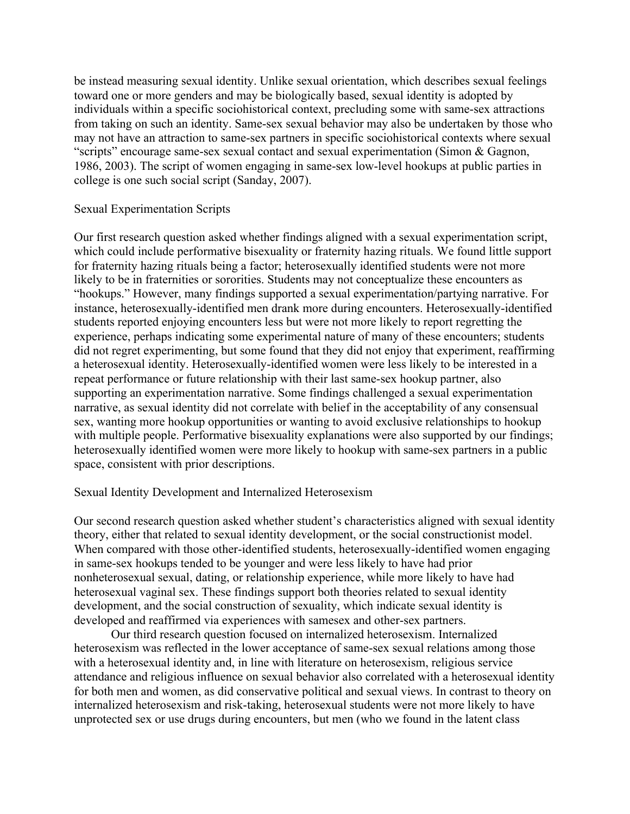be instead measuring sexual identity. Unlike sexual orientation, which describes sexual feelings toward one or more genders and may be biologically based, sexual identity is adopted by individuals within a specific sociohistorical context, precluding some with same-sex attractions from taking on such an identity. Same-sex sexual behavior may also be undertaken by those who may not have an attraction to same-sex partners in specific sociohistorical contexts where sexual "scripts" encourage same-sex sexual contact and sexual experimentation (Simon & Gagnon, 1986, 2003). The script of women engaging in same-sex low-level hookups at public parties in college is one such social script (Sanday, 2007).

#### Sexual Experimentation Scripts

Our first research question asked whether findings aligned with a sexual experimentation script, which could include performative bisexuality or fraternity hazing rituals. We found little support for fraternity hazing rituals being a factor; heterosexually identified students were not more likely to be in fraternities or sororities. Students may not conceptualize these encounters as "hookups." However, many findings supported a sexual experimentation/partying narrative. For instance, heterosexually-identified men drank more during encounters. Heterosexually-identified students reported enjoying encounters less but were not more likely to report regretting the experience, perhaps indicating some experimental nature of many of these encounters; students did not regret experimenting, but some found that they did not enjoy that experiment, reaffirming a heterosexual identity. Heterosexually-identified women were less likely to be interested in a repeat performance or future relationship with their last same-sex hookup partner, also supporting an experimentation narrative. Some findings challenged a sexual experimentation narrative, as sexual identity did not correlate with belief in the acceptability of any consensual sex, wanting more hookup opportunities or wanting to avoid exclusive relationships to hookup with multiple people. Performative bisexuality explanations were also supported by our findings; heterosexually identified women were more likely to hookup with same-sex partners in a public space, consistent with prior descriptions.

### Sexual Identity Development and Internalized Heterosexism

Our second research question asked whether student's characteristics aligned with sexual identity theory, either that related to sexual identity development, or the social constructionist model. When compared with those other-identified students, heterosexually-identified women engaging in same-sex hookups tended to be younger and were less likely to have had prior nonheterosexual sexual, dating, or relationship experience, while more likely to have had heterosexual vaginal sex. These findings support both theories related to sexual identity development, and the social construction of sexuality, which indicate sexual identity is developed and reaffirmed via experiences with samesex and other-sex partners.

Our third research question focused on internalized heterosexism. Internalized heterosexism was reflected in the lower acceptance of same-sex sexual relations among those with a heterosexual identity and, in line with literature on heterosexism, religious service attendance and religious influence on sexual behavior also correlated with a heterosexual identity for both men and women, as did conservative political and sexual views. In contrast to theory on internalized heterosexism and risk-taking, heterosexual students were not more likely to have unprotected sex or use drugs during encounters, but men (who we found in the latent class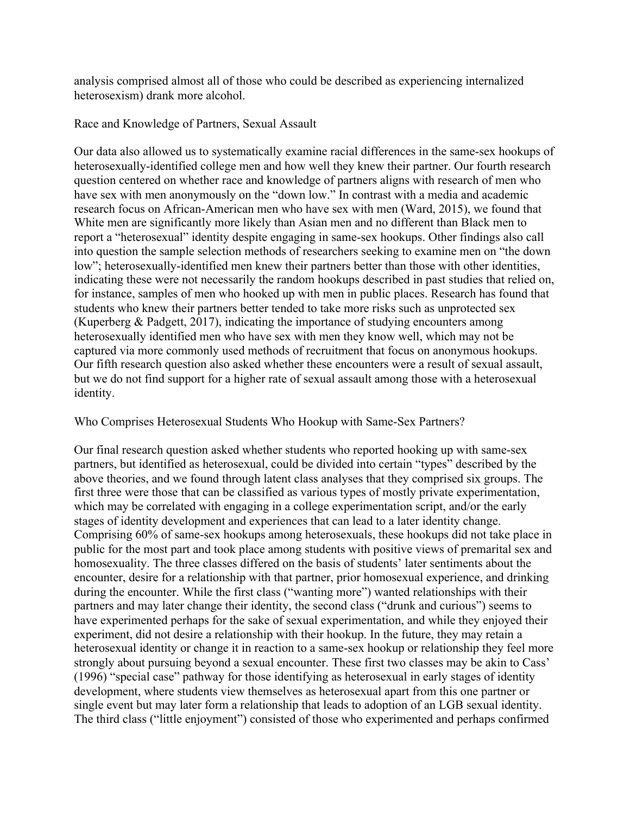analysis comprised almost all of those who could be described as experiencing internalized heterosexism) drank more alcohol.

### Race and Knowledge of Partners, Sexual Assault

Our data also allowed us to systematically examine racial differences in the same-sex hookups of heterosexually-identified college men and how well they knew their partner. Our fourth research question centered on whether race and knowledge of partners aligns with research of men who have sex with men anonymously on the "down low." In contrast with a media and academic research focus on African-American men who have sex with men (Ward, 2015), we found that White men are significantly more likely than Asian men and no different than Black men to report a "heterosexual" identity despite engaging in same-sex hookups. Other findings also call into question the sample selection methods of researchers seeking to examine men on "the down low"; heterosexually-identified men knew their partners better than those with other identities, indicating these were not necessarily the random hookups described in past studies that relied on, for instance, samples of men who hooked up with men in public places. Research has found that students who knew their partners better tended to take more risks such as unprotected sex (Kuperberg & Padgett, 2017), indicating the importance of studying encounters among heterosexually identified men who have sex with men they know well, which may not be captured via more commonly used methods of recruitment that focus on anonymous hookups. Our fifth research question also asked whether these encounters were a result of sexual assault, but we do not find support for a higher rate of sexual assault among those with a heterosexual identity.

Who Comprises Heterosexual Students Who Hookup with Same-Sex Partners?

Our final research question asked whether students who reported hooking up with same-sex partners, but identified as heterosexual, could be divided into certain "types" described by the above theories, and we found through latent class analyses that they comprised six groups. The first three were those that can be classified as various types of mostly private experimentation, which may be correlated with engaging in a college experimentation script, and/or the early stages of identity development and experiences that can lead to a later identity change. Comprising 60% of same-sex hookups among heterosexuals, these hookups did not take place in public for the most part and took place among students with positive views of premarital sex and homosexuality. The three classes differed on the basis of students' later sentiments about the encounter, desire for a relationship with that partner, prior homosexual experience, and drinking during the encounter. While the first class ("wanting more") wanted relationships with their partners and may later change their identity, the second class ("drunk and curious") seems to have experimented perhaps for the sake of sexual experimentation, and while they enjoyed their experiment, did not desire a relationship with their hookup. In the future, they may retain a heterosexual identity or change it in reaction to a same-sex hookup or relationship they feel more strongly about pursuing beyond a sexual encounter. These first two classes may be akin to Cass' (1996) "special case" pathway for those identifying as heterosexual in early stages of identity development, where students view themselves as heterosexual apart from this one partner or single event but may later form a relationship that leads to adoption of an LGB sexual identity. The third class ("little enjoyment") consisted of those who experimented and perhaps confirmed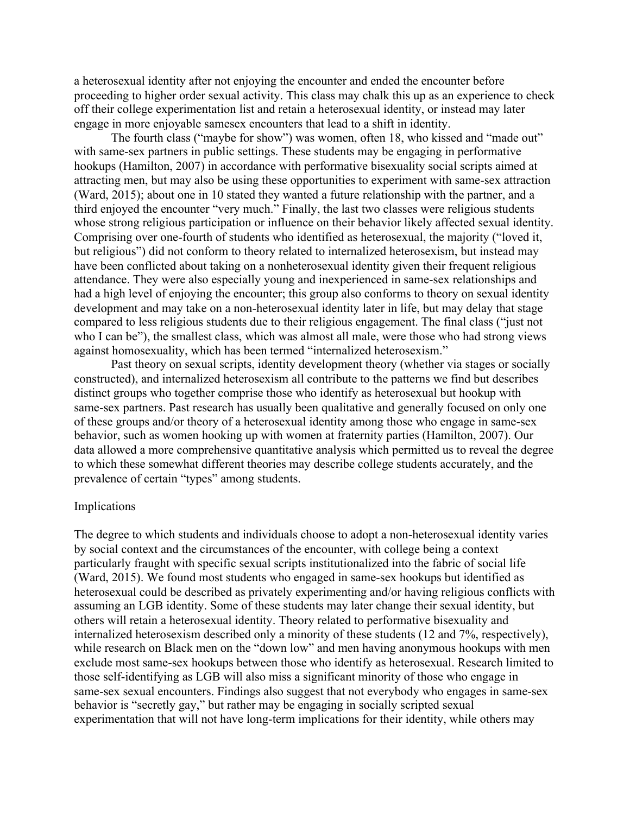a heterosexual identity after not enjoying the encounter and ended the encounter before proceeding to higher order sexual activity. This class may chalk this up as an experience to check off their college experimentation list and retain a heterosexual identity, or instead may later engage in more enjoyable samesex encounters that lead to a shift in identity.

The fourth class ("maybe for show") was women, often 18, who kissed and "made out" with same-sex partners in public settings. These students may be engaging in performative hookups (Hamilton, 2007) in accordance with performative bisexuality social scripts aimed at attracting men, but may also be using these opportunities to experiment with same-sex attraction (Ward, 2015); about one in 10 stated they wanted a future relationship with the partner, and a third enjoyed the encounter "very much." Finally, the last two classes were religious students whose strong religious participation or influence on their behavior likely affected sexual identity. Comprising over one-fourth of students who identified as heterosexual, the majority ("loved it, but religious") did not conform to theory related to internalized heterosexism, but instead may have been conflicted about taking on a nonheterosexual identity given their frequent religious attendance. They were also especially young and inexperienced in same-sex relationships and had a high level of enjoying the encounter; this group also conforms to theory on sexual identity development and may take on a non-heterosexual identity later in life, but may delay that stage compared to less religious students due to their religious engagement. The final class ("just not who I can be"), the smallest class, which was almost all male, were those who had strong views against homosexuality, which has been termed "internalized heterosexism."

Past theory on sexual scripts, identity development theory (whether via stages or socially constructed), and internalized heterosexism all contribute to the patterns we find but describes distinct groups who together comprise those who identify as heterosexual but hookup with same-sex partners. Past research has usually been qualitative and generally focused on only one of these groups and/or theory of a heterosexual identity among those who engage in same-sex behavior, such as women hooking up with women at fraternity parties (Hamilton, 2007). Our data allowed a more comprehensive quantitative analysis which permitted us to reveal the degree to which these somewhat different theories may describe college students accurately, and the prevalence of certain "types" among students.

#### Implications

The degree to which students and individuals choose to adopt a non-heterosexual identity varies by social context and the circumstances of the encounter, with college being a context particularly fraught with specific sexual scripts institutionalized into the fabric of social life (Ward, 2015). We found most students who engaged in same-sex hookups but identified as heterosexual could be described as privately experimenting and/or having religious conflicts with assuming an LGB identity. Some of these students may later change their sexual identity, but others will retain a heterosexual identity. Theory related to performative bisexuality and internalized heterosexism described only a minority of these students (12 and 7%, respectively), while research on Black men on the "down low" and men having anonymous hookups with men exclude most same-sex hookups between those who identify as heterosexual. Research limited to those self-identifying as LGB will also miss a significant minority of those who engage in same-sex sexual encounters. Findings also suggest that not everybody who engages in same-sex behavior is "secretly gay," but rather may be engaging in socially scripted sexual experimentation that will not have long-term implications for their identity, while others may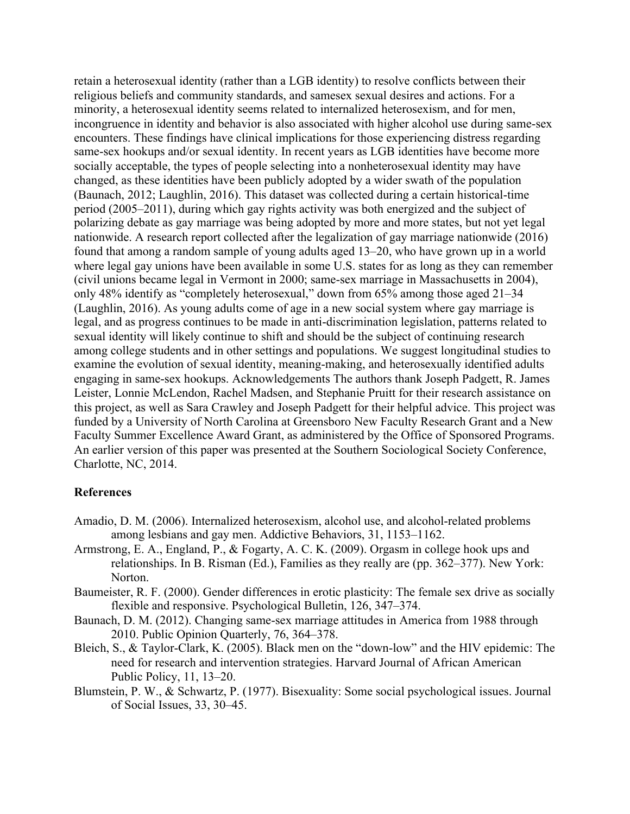retain a heterosexual identity (rather than a LGB identity) to resolve conflicts between their religious beliefs and community standards, and samesex sexual desires and actions. For a minority, a heterosexual identity seems related to internalized heterosexism, and for men, incongruence in identity and behavior is also associated with higher alcohol use during same-sex encounters. These findings have clinical implications for those experiencing distress regarding same-sex hookups and/or sexual identity. In recent years as LGB identities have become more socially acceptable, the types of people selecting into a nonheterosexual identity may have changed, as these identities have been publicly adopted by a wider swath of the population (Baunach, 2012; Laughlin, 2016). This dataset was collected during a certain historical-time period (2005–2011), during which gay rights activity was both energized and the subject of polarizing debate as gay marriage was being adopted by more and more states, but not yet legal nationwide. A research report collected after the legalization of gay marriage nationwide (2016) found that among a random sample of young adults aged 13–20, who have grown up in a world where legal gay unions have been available in some U.S. states for as long as they can remember (civil unions became legal in Vermont in 2000; same-sex marriage in Massachusetts in 2004), only 48% identify as "completely heterosexual," down from 65% among those aged 21–34 (Laughlin, 2016). As young adults come of age in a new social system where gay marriage is legal, and as progress continues to be made in anti-discrimination legislation, patterns related to sexual identity will likely continue to shift and should be the subject of continuing research among college students and in other settings and populations. We suggest longitudinal studies to examine the evolution of sexual identity, meaning-making, and heterosexually identified adults engaging in same-sex hookups. Acknowledgements The authors thank Joseph Padgett, R. James Leister, Lonnie McLendon, Rachel Madsen, and Stephanie Pruitt for their research assistance on this project, as well as Sara Crawley and Joseph Padgett for their helpful advice. This project was funded by a University of North Carolina at Greensboro New Faculty Research Grant and a New Faculty Summer Excellence Award Grant, as administered by the Office of Sponsored Programs. An earlier version of this paper was presented at the Southern Sociological Society Conference, Charlotte, NC, 2014.

### **References**

- Amadio, D. M. (2006). Internalized heterosexism, alcohol use, and alcohol-related problems among lesbians and gay men. Addictive Behaviors, 31, 1153–1162.
- Armstrong, E. A., England, P., & Fogarty, A. C. K. (2009). Orgasm in college hook ups and relationships. In B. Risman (Ed.), Families as they really are (pp. 362–377). New York: Norton.
- Baumeister, R. F. (2000). Gender differences in erotic plasticity: The female sex drive as socially flexible and responsive. Psychological Bulletin, 126, 347–374.
- Baunach, D. M. (2012). Changing same-sex marriage attitudes in America from 1988 through 2010. Public Opinion Quarterly, 76, 364–378.
- Bleich, S., & Taylor-Clark, K. (2005). Black men on the "down-low" and the HIV epidemic: The need for research and intervention strategies. Harvard Journal of African American Public Policy, 11, 13–20.
- Blumstein, P. W., & Schwartz, P. (1977). Bisexuality: Some social psychological issues. Journal of Social Issues, 33, 30–45.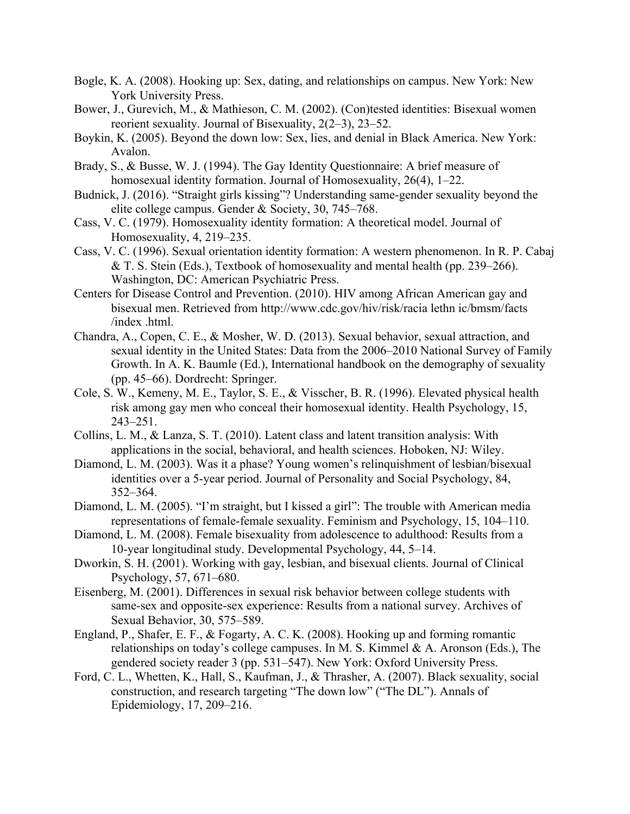- Bogle, K. A. (2008). Hooking up: Sex, dating, and relationships on campus. New York: New York University Press.
- Bower, J., Gurevich, M., & Mathieson, C. M. (2002). (Con)tested identities: Bisexual women reorient sexuality. Journal of Bisexuality, 2(2–3), 23–52.
- Boykin, K. (2005). Beyond the down low: Sex, lies, and denial in Black America. New York: Avalon.
- Brady, S., & Busse, W. J. (1994). The Gay Identity Questionnaire: A brief measure of homosexual identity formation. Journal of Homosexuality, 26(4), 1–22.
- Budnick, J. (2016). "Straight girls kissing"? Understanding same-gender sexuality beyond the elite college campus. Gender & Society, 30, 745–768.
- Cass, V. C. (1979). Homosexuality identity formation: A theoretical model. Journal of Homosexuality, 4, 219–235.
- Cass, V. C. (1996). Sexual orientation identity formation: A western phenomenon. In R. P. Cabaj & T. S. Stein (Eds.), Textbook of homosexuality and mental health (pp. 239–266). Washington, DC: American Psychiatric Press.
- Centers for Disease Control and Prevention. (2010). HIV among African American gay and bisexual men. Retrieved from http://www.cdc.gov/hiv/risk/racia lethn ic/bmsm/facts /index .html.
- Chandra, A., Copen, C. E., & Mosher, W. D. (2013). Sexual behavior, sexual attraction, and sexual identity in the United States: Data from the 2006–2010 National Survey of Family Growth. In A. K. Baumle (Ed.), International handbook on the demography of sexuality (pp. 45–66). Dordrecht: Springer.
- Cole, S. W., Kemeny, M. E., Taylor, S. E., & Visscher, B. R. (1996). Elevated physical health risk among gay men who conceal their homosexual identity. Health Psychology, 15, 243–251.
- Collins, L. M., & Lanza, S. T. (2010). Latent class and latent transition analysis: With applications in the social, behavioral, and health sciences. Hoboken, NJ: Wiley.
- Diamond, L. M. (2003). Was it a phase? Young women's relinquishment of lesbian/bisexual identities over a 5-year period. Journal of Personality and Social Psychology, 84, 352–364.
- Diamond, L. M. (2005). "I'm straight, but I kissed a girl": The trouble with American media representations of female-female sexuality. Feminism and Psychology, 15, 104–110.
- Diamond, L. M. (2008). Female bisexuality from adolescence to adulthood: Results from a 10-year longitudinal study. Developmental Psychology, 44, 5–14.
- Dworkin, S. H. (2001). Working with gay, lesbian, and bisexual clients. Journal of Clinical Psychology, 57, 671–680.
- Eisenberg, M. (2001). Differences in sexual risk behavior between college students with same-sex and opposite-sex experience: Results from a national survey. Archives of Sexual Behavior, 30, 575–589.
- England, P., Shafer, E. F., & Fogarty, A. C. K. (2008). Hooking up and forming romantic relationships on today's college campuses. In M. S. Kimmel & A. Aronson (Eds.), The gendered society reader 3 (pp. 531–547). New York: Oxford University Press.
- Ford, C. L., Whetten, K., Hall, S., Kaufman, J., & Thrasher, A. (2007). Black sexuality, social construction, and research targeting "The down low" ("The DL"). Annals of Epidemiology, 17, 209–216.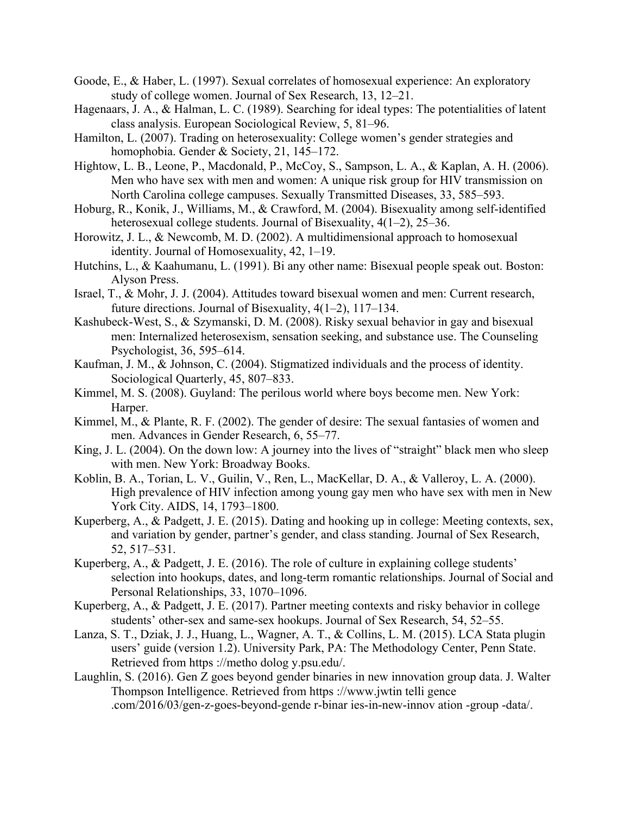- Goode, E., & Haber, L. (1997). Sexual correlates of homosexual experience: An exploratory study of college women. Journal of Sex Research, 13, 12–21.
- Hagenaars, J. A., & Halman, L. C. (1989). Searching for ideal types: The potentialities of latent class analysis. European Sociological Review, 5, 81–96.
- Hamilton, L. (2007). Trading on heterosexuality: College women's gender strategies and homophobia. Gender & Society, 21, 145-172.
- Hightow, L. B., Leone, P., Macdonald, P., McCoy, S., Sampson, L. A., & Kaplan, A. H. (2006). Men who have sex with men and women: A unique risk group for HIV transmission on North Carolina college campuses. Sexually Transmitted Diseases, 33, 585–593.
- Hoburg, R., Konik, J., Williams, M., & Crawford, M. (2004). Bisexuality among self-identified heterosexual college students. Journal of Bisexuality,  $4(1-2)$ ,  $25-36$ .
- Horowitz, J. L., & Newcomb, M. D. (2002). A multidimensional approach to homosexual identity. Journal of Homosexuality, 42, 1–19.
- Hutchins, L., & Kaahumanu, L. (1991). Bi any other name: Bisexual people speak out. Boston: Alyson Press.
- Israel, T., & Mohr, J. J. (2004). Attitudes toward bisexual women and men: Current research, future directions. Journal of Bisexuality, 4(1–2), 117–134.
- Kashubeck-West, S., & Szymanski, D. M. (2008). Risky sexual behavior in gay and bisexual men: Internalized heterosexism, sensation seeking, and substance use. The Counseling Psychologist, 36, 595–614.
- Kaufman, J. M., & Johnson, C. (2004). Stigmatized individuals and the process of identity. Sociological Quarterly, 45, 807–833.
- Kimmel, M. S. (2008). Guyland: The perilous world where boys become men. New York: Harper.
- Kimmel, M., & Plante, R. F. (2002). The gender of desire: The sexual fantasies of women and men. Advances in Gender Research, 6, 55–77.
- King, J. L. (2004). On the down low: A journey into the lives of "straight" black men who sleep with men. New York: Broadway Books.
- Koblin, B. A., Torian, L. V., Guilin, V., Ren, L., MacKellar, D. A., & Valleroy, L. A. (2000). High prevalence of HIV infection among young gay men who have sex with men in New York City. AIDS, 14, 1793–1800.
- Kuperberg, A., & Padgett, J. E. (2015). Dating and hooking up in college: Meeting contexts, sex, and variation by gender, partner's gender, and class standing. Journal of Sex Research, 52, 517–531.
- Kuperberg, A., & Padgett, J. E. (2016). The role of culture in explaining college students' selection into hookups, dates, and long-term romantic relationships. Journal of Social and Personal Relationships, 33, 1070–1096.
- Kuperberg, A., & Padgett, J. E. (2017). Partner meeting contexts and risky behavior in college students' other-sex and same-sex hookups. Journal of Sex Research, 54, 52–55.
- Lanza, S. T., Dziak, J. J., Huang, L., Wagner, A. T., & Collins, L. M. (2015). LCA Stata plugin users' guide (version 1.2). University Park, PA: The Methodology Center, Penn State. Retrieved from https ://metho dolog y.psu.edu/.
- Laughlin, S. (2016). Gen Z goes beyond gender binaries in new innovation group data. J. Walter Thompson Intelligence. Retrieved from https ://www.jwtin telli gence .com/2016/03/gen-z-goes-beyond-gende r-binar ies-in-new-innov ation -group -data/.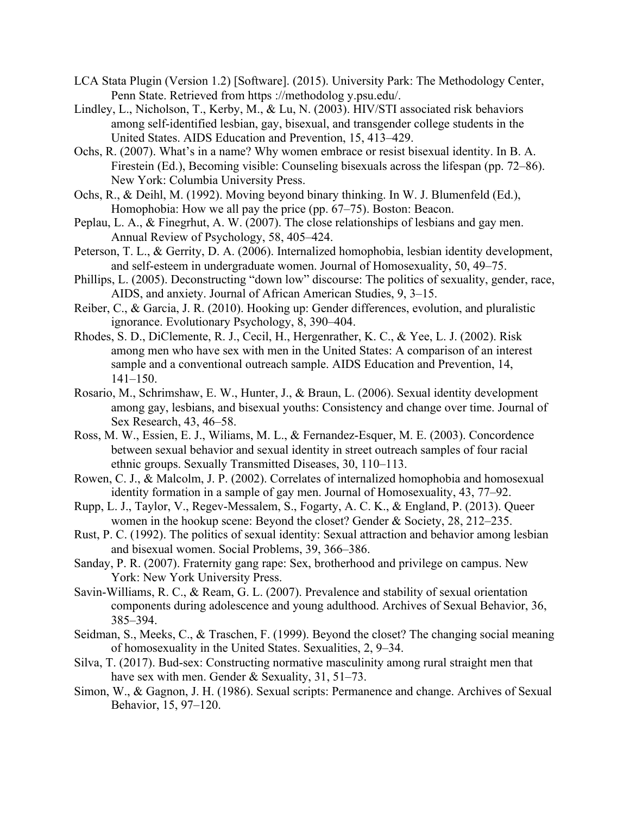- LCA Stata Plugin (Version 1.2) [Software]. (2015). University Park: The Methodology Center, Penn State. Retrieved from https ://methodolog y.psu.edu/.
- Lindley, L., Nicholson, T., Kerby, M., & Lu, N. (2003). HIV/STI associated risk behaviors among self-identified lesbian, gay, bisexual, and transgender college students in the United States. AIDS Education and Prevention, 15, 413–429.
- Ochs, R. (2007). What's in a name? Why women embrace or resist bisexual identity. In B. A. Firestein (Ed.), Becoming visible: Counseling bisexuals across the lifespan (pp. 72–86). New York: Columbia University Press.
- Ochs, R., & Deihl, M. (1992). Moving beyond binary thinking. In W. J. Blumenfeld (Ed.), Homophobia: How we all pay the price (pp. 67–75). Boston: Beacon.
- Peplau, L. A., & Finegrhut, A. W. (2007). The close relationships of lesbians and gay men. Annual Review of Psychology, 58, 405–424.
- Peterson, T. L., & Gerrity, D. A. (2006). Internalized homophobia, lesbian identity development, and self-esteem in undergraduate women. Journal of Homosexuality, 50, 49–75.
- Phillips, L. (2005). Deconstructing "down low" discourse: The politics of sexuality, gender, race, AIDS, and anxiety. Journal of African American Studies, 9, 3–15.
- Reiber, C., & Garcia, J. R. (2010). Hooking up: Gender differences, evolution, and pluralistic ignorance. Evolutionary Psychology, 8, 390–404.
- Rhodes, S. D., DiClemente, R. J., Cecil, H., Hergenrather, K. C., & Yee, L. J. (2002). Risk among men who have sex with men in the United States: A comparison of an interest sample and a conventional outreach sample. AIDS Education and Prevention, 14, 141–150.
- Rosario, M., Schrimshaw, E. W., Hunter, J., & Braun, L. (2006). Sexual identity development among gay, lesbians, and bisexual youths: Consistency and change over time. Journal of Sex Research, 43, 46–58.
- Ross, M. W., Essien, E. J., Wiliams, M. L., & Fernandez-Esquer, M. E. (2003). Concordence between sexual behavior and sexual identity in street outreach samples of four racial ethnic groups. Sexually Transmitted Diseases, 30, 110–113.
- Rowen, C. J., & Malcolm, J. P. (2002). Correlates of internalized homophobia and homosexual identity formation in a sample of gay men. Journal of Homosexuality, 43, 77–92.
- Rupp, L. J., Taylor, V., Regev-Messalem, S., Fogarty, A. C. K., & England, P. (2013). Queer women in the hookup scene: Beyond the closet? Gender & Society, 28, 212–235.
- Rust, P. C. (1992). The politics of sexual identity: Sexual attraction and behavior among lesbian and bisexual women. Social Problems, 39, 366–386.
- Sanday, P. R. (2007). Fraternity gang rape: Sex, brotherhood and privilege on campus. New York: New York University Press.
- Savin-Williams, R. C., & Ream, G. L. (2007). Prevalence and stability of sexual orientation components during adolescence and young adulthood. Archives of Sexual Behavior, 36, 385–394.
- Seidman, S., Meeks, C., & Traschen, F. (1999). Beyond the closet? The changing social meaning of homosexuality in the United States. Sexualities, 2, 9–34.
- Silva, T. (2017). Bud-sex: Constructing normative masculinity among rural straight men that have sex with men. Gender & Sexuality, 31, 51–73.
- Simon, W., & Gagnon, J. H. (1986). Sexual scripts: Permanence and change. Archives of Sexual Behavior, 15, 97–120.